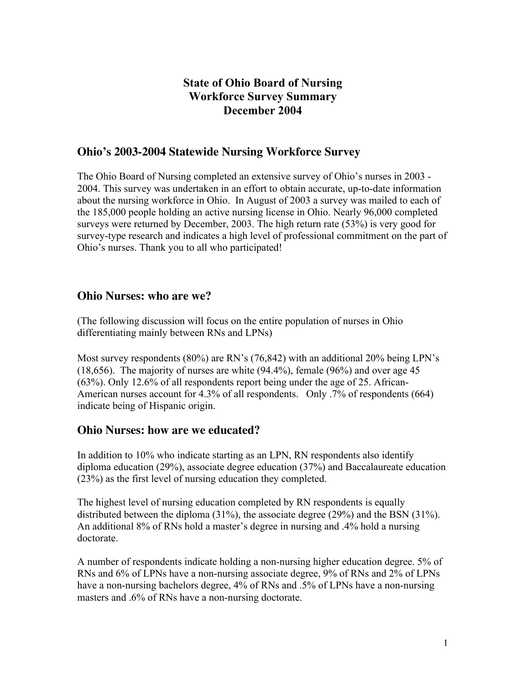# **State of Ohio Board of Nursing Workforce Survey Summary December 2004**

### **Ohio's 2003-2004 Statewide Nursing Workforce Survey**

The Ohio Board of Nursing completed an extensive survey of Ohio's nurses in 2003 - 2004. This survey was undertaken in an effort to obtain accurate, up-to-date information about the nursing workforce in Ohio. In August of 2003 a survey was mailed to each of the 185,000 people holding an active nursing license in Ohio. Nearly 96,000 completed surveys were returned by December, 2003. The high return rate (53%) is very good for survey-type research and indicates a high level of professional commitment on the part of Ohio's nurses. Thank you to all who participated!

### **Ohio Nurses: who are we?**

(The following discussion will focus on the entire population of nurses in Ohio differentiating mainly between RNs and LPNs)

Most survey respondents (80%) are RN's (76,842) with an additional 20% being LPN's (18,656). The majority of nurses are white (94.4%), female (96%) and over age 45 (63%). Only 12.6% of all respondents report being under the age of 25. African-American nurses account for 4.3% of all respondents. Only .7% of respondents (664) indicate being of Hispanic origin.

### **Ohio Nurses: how are we educated?**

In addition to 10% who indicate starting as an LPN, RN respondents also identify diploma education (29%), associate degree education (37%) and Baccalaureate education (23%) as the first level of nursing education they completed.

The highest level of nursing education completed by RN respondents is equally distributed between the diploma (31%), the associate degree (29%) and the BSN (31%). An additional 8% of RNs hold a master's degree in nursing and .4% hold a nursing doctorate.

A number of respondents indicate holding a non-nursing higher education degree. 5% of RNs and 6% of LPNs have a non-nursing associate degree, 9% of RNs and 2% of LPNs have a non-nursing bachelors degree, 4% of RNs and .5% of LPNs have a non-nursing masters and .6% of RNs have a non-nursing doctorate.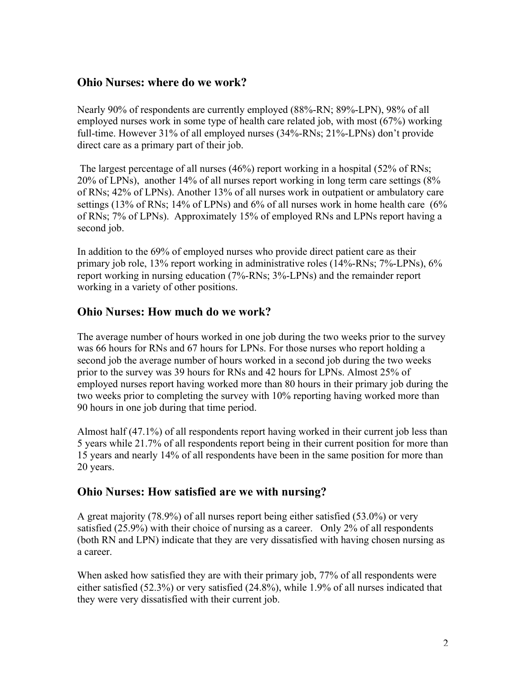## **Ohio Nurses: where do we work?**

Nearly 90% of respondents are currently employed (88%-RN; 89%-LPN), 98% of all employed nurses work in some type of health care related job, with most (67%) working full-time. However 31% of all employed nurses (34%-RNs; 21%-LPNs) don't provide direct care as a primary part of their job.

 The largest percentage of all nurses (46%) report working in a hospital (52% of RNs; 20% of LPNs), another 14% of all nurses report working in long term care settings (8% of RNs; 42% of LPNs). Another 13% of all nurses work in outpatient or ambulatory care settings (13% of RNs; 14% of LPNs) and 6% of all nurses work in home health care (6% of RNs; 7% of LPNs). Approximately 15% of employed RNs and LPNs report having a second job.

In addition to the 69% of employed nurses who provide direct patient care as their primary job role, 13% report working in administrative roles (14%-RNs; 7%-LPNs), 6% report working in nursing education (7%-RNs; 3%-LPNs) and the remainder report working in a variety of other positions.

# **Ohio Nurses: How much do we work?**

The average number of hours worked in one job during the two weeks prior to the survey was 66 hours for RNs and 67 hours for LPNs. For those nurses who report holding a second job the average number of hours worked in a second job during the two weeks prior to the survey was 39 hours for RNs and 42 hours for LPNs. Almost 25% of employed nurses report having worked more than 80 hours in their primary job during the two weeks prior to completing the survey with 10% reporting having worked more than 90 hours in one job during that time period.

Almost half (47.1%) of all respondents report having worked in their current job less than 5 years while 21.7% of all respondents report being in their current position for more than 15 years and nearly 14% of all respondents have been in the same position for more than 20 years.

# **Ohio Nurses: How satisfied are we with nursing?**

A great majority (78.9%) of all nurses report being either satisfied (53.0%) or very satisfied (25.9%) with their choice of nursing as a career. Only 2% of all respondents (both RN and LPN) indicate that they are very dissatisfied with having chosen nursing as a career.

When asked how satisfied they are with their primary job, 77% of all respondents were either satisfied (52.3%) or very satisfied (24.8%), while 1.9% of all nurses indicated that they were very dissatisfied with their current job.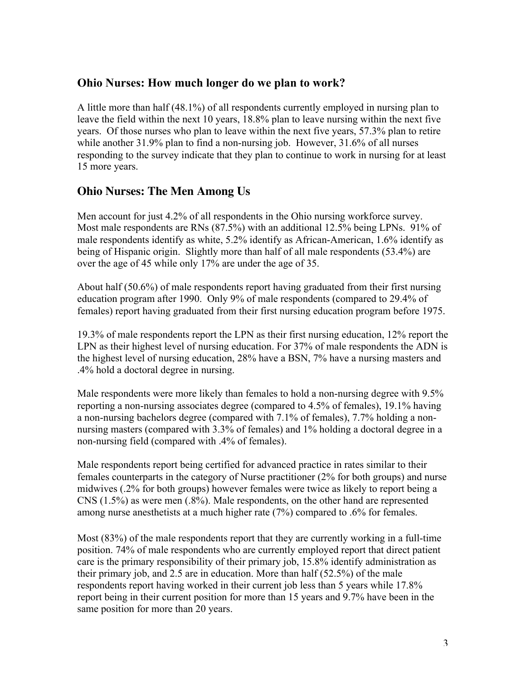### **Ohio Nurses: How much longer do we plan to work?**

A little more than half (48.1%) of all respondents currently employed in nursing plan to leave the field within the next 10 years, 18.8% plan to leave nursing within the next five years. Of those nurses who plan to leave within the next five years, 57.3% plan to retire while another 31.9% plan to find a non-nursing job. However, 31.6% of all nurses responding to the survey indicate that they plan to continue to work in nursing for at least 15 more years.

### **Ohio Nurses: The Men Among Us**

Men account for just 4.2% of all respondents in the Ohio nursing workforce survey. Most male respondents are RNs (87.5%) with an additional 12.5% being LPNs. 91% of male respondents identify as white, 5.2% identify as African-American, 1.6% identify as being of Hispanic origin. Slightly more than half of all male respondents (53.4%) are over the age of 45 while only 17% are under the age of 35.

About half (50.6%) of male respondents report having graduated from their first nursing education program after 1990. Only 9% of male respondents (compared to 29.4% of females) report having graduated from their first nursing education program before 1975.

19.3% of male respondents report the LPN as their first nursing education, 12% report the LPN as their highest level of nursing education. For 37% of male respondents the ADN is the highest level of nursing education, 28% have a BSN, 7% have a nursing masters and .4% hold a doctoral degree in nursing.

Male respondents were more likely than females to hold a non-nursing degree with 9.5% reporting a non-nursing associates degree (compared to 4.5% of females), 19.1% having a non-nursing bachelors degree (compared with 7.1% of females), 7.7% holding a nonnursing masters (compared with 3.3% of females) and 1% holding a doctoral degree in a non-nursing field (compared with .4% of females).

Male respondents report being certified for advanced practice in rates similar to their females counterparts in the category of Nurse practitioner (2% for both groups) and nurse midwives (.2% for both groups) however females were twice as likely to report being a CNS (1.5%) as were men (.8%). Male respondents, on the other hand are represented among nurse anesthetists at a much higher rate (7%) compared to .6% for females.

Most (83%) of the male respondents report that they are currently working in a full-time position. 74% of male respondents who are currently employed report that direct patient care is the primary responsibility of their primary job, 15.8% identify administration as their primary job, and 2.5 are in education. More than half (52.5%) of the male respondents report having worked in their current job less than 5 years while 17.8% report being in their current position for more than 15 years and 9.7% have been in the same position for more than 20 years.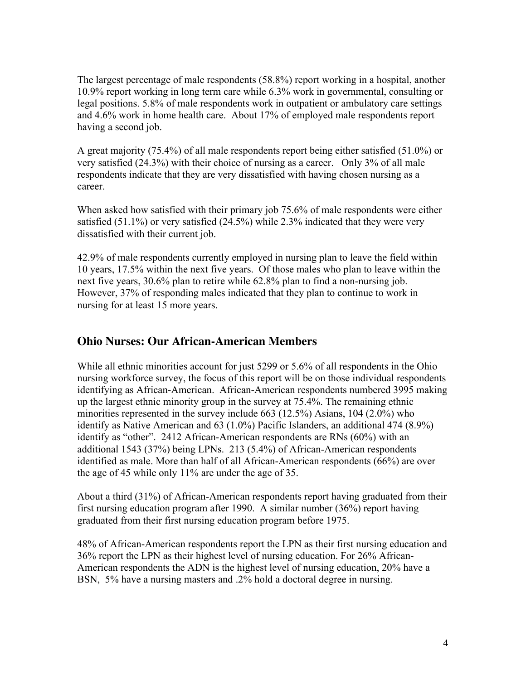The largest percentage of male respondents (58.8%) report working in a hospital, another 10.9% report working in long term care while 6.3% work in governmental, consulting or legal positions. 5.8% of male respondents work in outpatient or ambulatory care settings and 4.6% work in home health care. About 17% of employed male respondents report having a second job.

A great majority (75.4%) of all male respondents report being either satisfied (51.0%) or very satisfied (24.3%) with their choice of nursing as a career. Only 3% of all male respondents indicate that they are very dissatisfied with having chosen nursing as a career.

When asked how satisfied with their primary job 75.6% of male respondents were either satisfied (51.1%) or very satisfied (24.5%) while 2.3% indicated that they were very dissatisfied with their current job.

42.9% of male respondents currently employed in nursing plan to leave the field within 10 years, 17.5% within the next five years. Of those males who plan to leave within the next five years, 30.6% plan to retire while 62.8% plan to find a non-nursing job. However, 37% of responding males indicated that they plan to continue to work in nursing for at least 15 more years.

## **Ohio Nurses: Our African-American Members**

While all ethnic minorities account for just 5299 or 5.6% of all respondents in the Ohio nursing workforce survey, the focus of this report will be on those individual respondents identifying as African-American. African-American respondents numbered 3995 making up the largest ethnic minority group in the survey at 75.4%. The remaining ethnic minorities represented in the survey include 663 (12.5%) Asians, 104 (2.0%) who identify as Native American and 63 (1.0%) Pacific Islanders, an additional 474 (8.9%) identify as "other". 2412 African-American respondents are RNs (60%) with an additional 1543 (37%) being LPNs. 213 (5.4%) of African-American respondents identified as male. More than half of all African-American respondents (66%) are over the age of 45 while only 11% are under the age of 35.

About a third (31%) of African-American respondents report having graduated from their first nursing education program after 1990. A similar number (36%) report having graduated from their first nursing education program before 1975.

48% of African-American respondents report the LPN as their first nursing education and 36% report the LPN as their highest level of nursing education. For 26% African-American respondents the ADN is the highest level of nursing education, 20% have a BSN, 5% have a nursing masters and .2% hold a doctoral degree in nursing.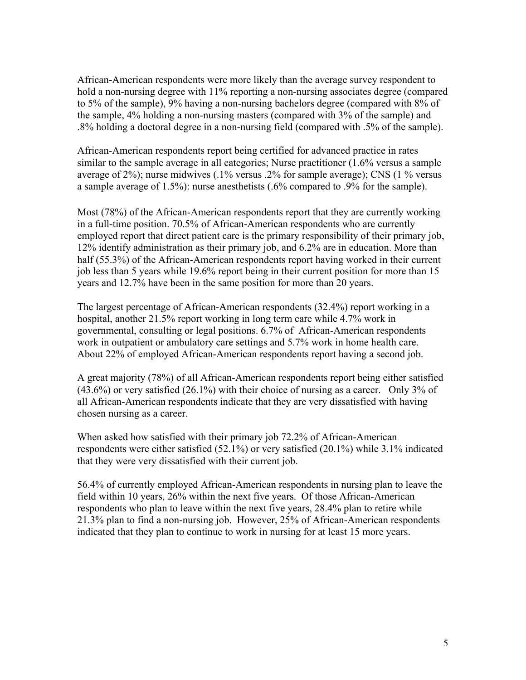African-American respondents were more likely than the average survey respondent to hold a non-nursing degree with 11% reporting a non-nursing associates degree (compared to 5% of the sample), 9% having a non-nursing bachelors degree (compared with 8% of the sample, 4% holding a non-nursing masters (compared with 3% of the sample) and .8% holding a doctoral degree in a non-nursing field (compared with .5% of the sample).

African-American respondents report being certified for advanced practice in rates similar to the sample average in all categories; Nurse practitioner (1.6% versus a sample average of 2%); nurse midwives (.1% versus .2% for sample average); CNS (1 % versus a sample average of 1.5%): nurse anesthetists (.6% compared to .9% for the sample).

Most (78%) of the African-American respondents report that they are currently working in a full-time position. 70.5% of African-American respondents who are currently employed report that direct patient care is the primary responsibility of their primary job, 12% identify administration as their primary job, and 6.2% are in education. More than half (55.3%) of the African-American respondents report having worked in their current job less than 5 years while 19.6% report being in their current position for more than 15 years and 12.7% have been in the same position for more than 20 years.

The largest percentage of African-American respondents (32.4%) report working in a hospital, another 21.5% report working in long term care while 4.7% work in governmental, consulting or legal positions. 6.7% of African-American respondents work in outpatient or ambulatory care settings and 5.7% work in home health care. About 22% of employed African-American respondents report having a second job.

A great majority (78%) of all African-American respondents report being either satisfied (43.6%) or very satisfied (26.1%) with their choice of nursing as a career. Only 3% of all African-American respondents indicate that they are very dissatisfied with having chosen nursing as a career.

When asked how satisfied with their primary job 72.2% of African-American respondents were either satisfied (52.1%) or very satisfied (20.1%) while 3.1% indicated that they were very dissatisfied with their current job.

56.4% of currently employed African-American respondents in nursing plan to leave the field within 10 years, 26% within the next five years. Of those African-American respondents who plan to leave within the next five years, 28.4% plan to retire while 21.3% plan to find a non-nursing job. However, 25% of African-American respondents indicated that they plan to continue to work in nursing for at least 15 more years.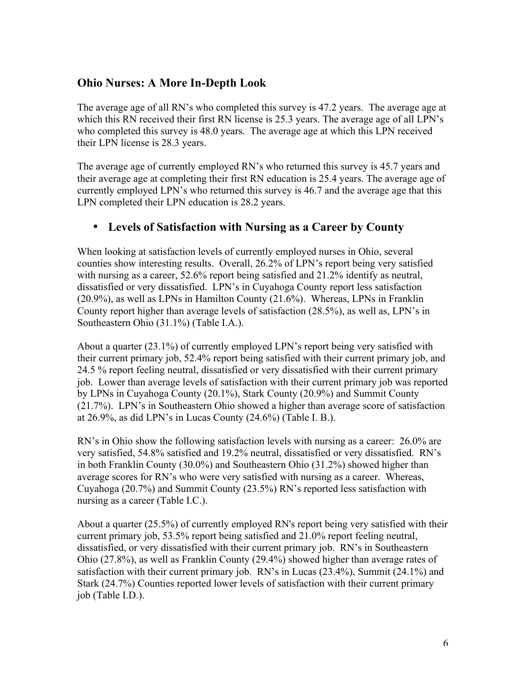# **Ohio Nurses: A More In-Depth Look**

The average age of all RN's who completed this survey is 47.2 years. The average age at which this RN received their first RN license is 25.3 years. The average age of all LPN's who completed this survey is 48.0 years. The average age at which this LPN received their LPN license is 28.3 years.

The average age of currently employed RN's who returned this survey is 45.7 years and their average age at completing their first RN education is 25.4 years. The average age of currently employed LPN's who returned this survey is 46.7 and the average age that this LPN completed their LPN education is 28.2 years.

# • **Levels of Satisfaction with Nursing as a Career by County**

When looking at satisfaction levels of currently employed nurses in Ohio, several counties show interesting results. Overall, 26.2% of LPN's report being very satisfied with nursing as a career, 52.6% report being satisfied and 21.2% identify as neutral, dissatisfied or very dissatisfied. LPN's in Cuyahoga County report less satisfaction (20.9%), as well as LPNs in Hamilton County (21.6%). Whereas, LPNs in Franklin County report higher than average levels of satisfaction (28.5%), as well as, LPN's in Southeastern Ohio (31.1%) (Table I.A.).

About a quarter (23.1%) of currently employed LPN's report being very satisfied with their current primary job, 52.4% report being satisfied with their current primary job, and 24.5 % report feeling neutral, dissatisfied or very dissatisfied with their current primary job. Lower than average levels of satisfaction with their current primary job was reported by LPNs in Cuyahoga County (20.1%), Stark County (20.9%) and Summit County (21.7%). LPN's in Southeastern Ohio showed a higher than average score of satisfaction at 26.9%, as did LPN's in Lucas County (24.6%) (Table I. B.).

RN's in Ohio show the following satisfaction levels with nursing as a career: 26.0% are very satisfied, 54.8% satisfied and 19.2% neutral, dissatisfied or very dissatisfied. RN's in both Franklin County (30.0%) and Southeastern Ohio (31.2%) showed higher than average scores for RN's who were very satisfied with nursing as a career. Whereas, Cuyahoga (20.7%) and Summit County (23.5%) RN's reported less satisfaction with nursing as a career (Table I.C.).

About a quarter (25.5%) of currently employed RN's report being very satisfied with their current primary job, 53.5% report being satisfied and 21.0% report feeling neutral, dissatisfied, or very dissatisfied with their current primary job. RN's in Southeastern Ohio (27.8%), as well as Franklin County (29.4%) showed higher than average rates of satisfaction with their current primary job. RN's in Lucas (23.4%), Summit (24.1%) and Stark (24.7%) Counties reported lower levels of satisfaction with their current primary job (Table I.D.).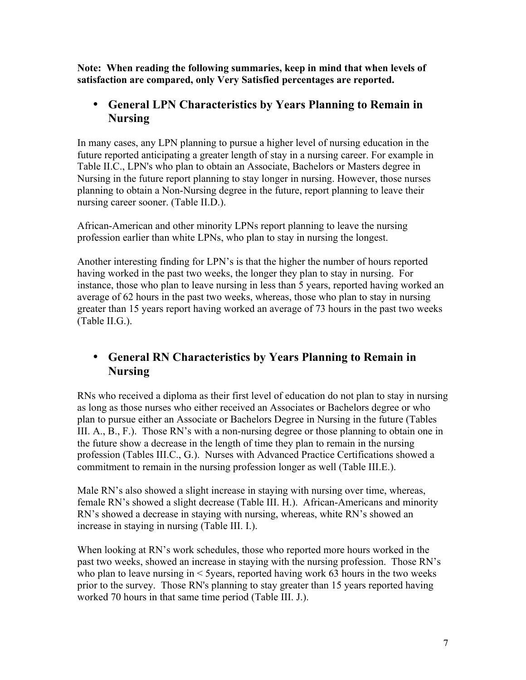**Note: When reading the following summaries, keep in mind that when levels of satisfaction are compared, only Very Satisfied percentages are reported.**

# • **General LPN Characteristics by Years Planning to Remain in Nursing**

In many cases, any LPN planning to pursue a higher level of nursing education in the future reported anticipating a greater length of stay in a nursing career. For example in Table II.C., LPN's who plan to obtain an Associate, Bachelors or Masters degree in Nursing in the future report planning to stay longer in nursing. However, those nurses planning to obtain a Non-Nursing degree in the future, report planning to leave their nursing career sooner. (Table II.D.).

African-American and other minority LPNs report planning to leave the nursing profession earlier than white LPNs, who plan to stay in nursing the longest.

Another interesting finding for LPN's is that the higher the number of hours reported having worked in the past two weeks, the longer they plan to stay in nursing. For instance, those who plan to leave nursing in less than 5 years, reported having worked an average of 62 hours in the past two weeks, whereas, those who plan to stay in nursing greater than 15 years report having worked an average of 73 hours in the past two weeks (Table II.G.).

# • **General RN Characteristics by Years Planning to Remain in Nursing**

RNs who received a diploma as their first level of education do not plan to stay in nursing as long as those nurses who either received an Associates or Bachelors degree or who plan to pursue either an Associate or Bachelors Degree in Nursing in the future (Tables III. A., B., F.). Those RN's with a non-nursing degree or those planning to obtain one in the future show a decrease in the length of time they plan to remain in the nursing profession (Tables III.C., G.). Nurses with Advanced Practice Certifications showed a commitment to remain in the nursing profession longer as well (Table III.E.).

Male RN's also showed a slight increase in staying with nursing over time, whereas, female RN's showed a slight decrease (Table III. H.). African-Americans and minority RN's showed a decrease in staying with nursing, whereas, white RN's showed an increase in staying in nursing (Table III. I.).

When looking at RN's work schedules, those who reported more hours worked in the past two weeks, showed an increase in staying with the nursing profession. Those RN's who plan to leave nursing in  $\leq$  5 years, reported having work 63 hours in the two weeks prior to the survey. Those RN's planning to stay greater than 15 years reported having worked 70 hours in that same time period (Table III. J.).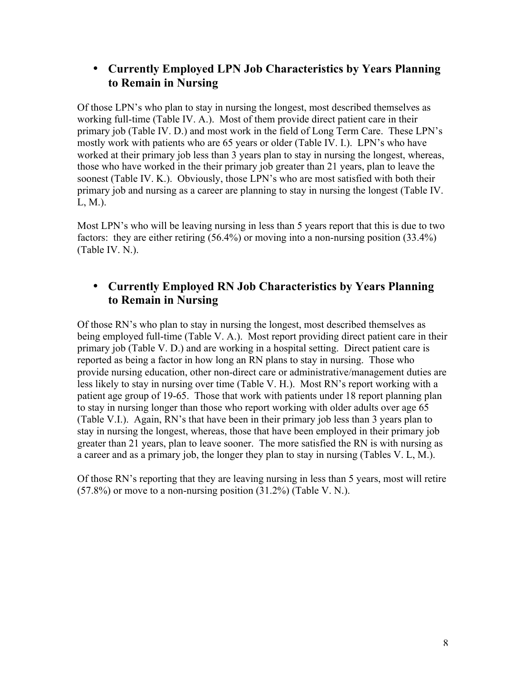# • **Currently Employed LPN Job Characteristics by Years Planning to Remain in Nursing**

Of those LPN's who plan to stay in nursing the longest, most described themselves as working full-time (Table IV. A.). Most of them provide direct patient care in their primary job (Table IV. D.) and most work in the field of Long Term Care. These LPN's mostly work with patients who are 65 years or older (Table IV. I.). LPN's who have worked at their primary job less than 3 years plan to stay in nursing the longest, whereas, those who have worked in the their primary job greater than 21 years, plan to leave the soonest (Table IV. K.). Obviously, those LPN's who are most satisfied with both their primary job and nursing as a career are planning to stay in nursing the longest (Table IV. L, M.).

Most LPN's who will be leaving nursing in less than 5 years report that this is due to two factors: they are either retiring (56.4%) or moving into a non-nursing position (33.4%) (Table IV. N.).

# • **Currently Employed RN Job Characteristics by Years Planning to Remain in Nursing**

Of those RN's who plan to stay in nursing the longest, most described themselves as being employed full-time (Table V. A.). Most report providing direct patient care in their primary job (Table V. D.) and are working in a hospital setting. Direct patient care is reported as being a factor in how long an RN plans to stay in nursing. Those who provide nursing education, other non-direct care or administrative/management duties are less likely to stay in nursing over time (Table V. H.). Most RN's report working with a patient age group of 19-65. Those that work with patients under 18 report planning plan to stay in nursing longer than those who report working with older adults over age 65 (Table V.I.). Again, RN's that have been in their primary job less than 3 years plan to stay in nursing the longest, whereas, those that have been employed in their primary job greater than 21 years, plan to leave sooner. The more satisfied the RN is with nursing as a career and as a primary job, the longer they plan to stay in nursing (Tables V. L, M.).

Of those RN's reporting that they are leaving nursing in less than 5 years, most will retire (57.8%) or move to a non-nursing position (31.2%) (Table V. N.).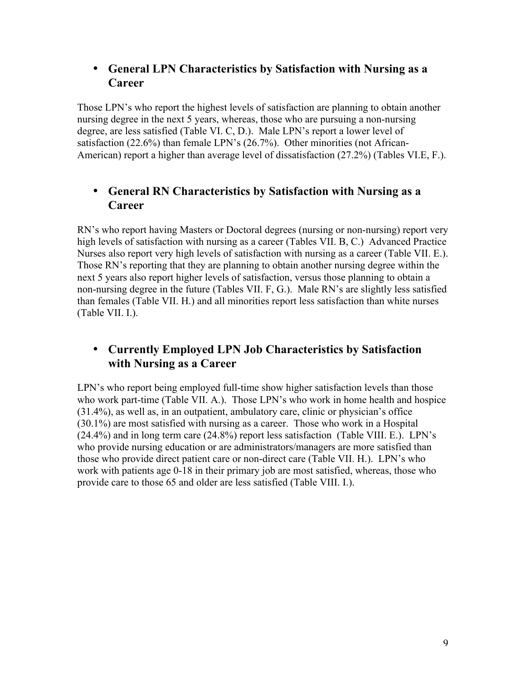# • **General LPN Characteristics by Satisfaction with Nursing as a Career**

Those LPN's who report the highest levels of satisfaction are planning to obtain another nursing degree in the next 5 years, whereas, those who are pursuing a non-nursing degree, are less satisfied (Table VI. C, D.). Male LPN's report a lower level of satisfaction (22.6%) than female LPN's (26.7%). Other minorities (not African-American) report a higher than average level of dissatisfaction (27.2%) (Tables VI.E, F.).

# • **General RN Characteristics by Satisfaction with Nursing as a Career**

RN's who report having Masters or Doctoral degrees (nursing or non-nursing) report very high levels of satisfaction with nursing as a career (Tables VII. B, C.) Advanced Practice Nurses also report very high levels of satisfaction with nursing as a career (Table VII. E.). Those RN's reporting that they are planning to obtain another nursing degree within the next 5 years also report higher levels of satisfaction, versus those planning to obtain a non-nursing degree in the future (Tables VII. F, G.). Male RN's are slightly less satisfied than females (Table VII. H.) and all minorities report less satisfaction than white nurses (Table VII. I.).

# • **Currently Employed LPN Job Characteristics by Satisfaction with Nursing as a Career**

LPN's who report being employed full-time show higher satisfaction levels than those who work part-time (Table VII. A.). Those LPN's who work in home health and hospice (31.4%), as well as, in an outpatient, ambulatory care, clinic or physician's office (30.1%) are most satisfied with nursing as a career. Those who work in a Hospital (24.4%) and in long term care (24.8%) report less satisfaction (Table VIII. E.). LPN's who provide nursing education or are administrators/managers are more satisfied than those who provide direct patient care or non-direct care (Table VII. H.). LPN's who work with patients age 0-18 in their primary job are most satisfied, whereas, those who provide care to those 65 and older are less satisfied (Table VIII. I.).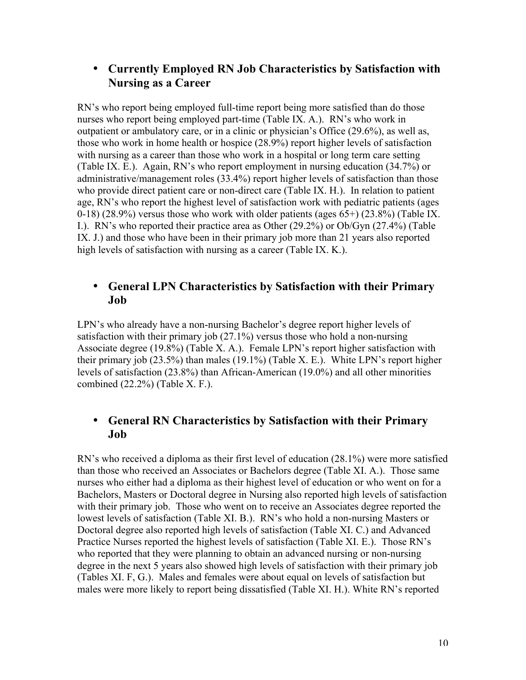# • **Currently Employed RN Job Characteristics by Satisfaction with Nursing as a Career**

RN's who report being employed full-time report being more satisfied than do those nurses who report being employed part-time (Table IX. A.). RN's who work in outpatient or ambulatory care, or in a clinic or physician's Office (29.6%), as well as, those who work in home health or hospice (28.9%) report higher levels of satisfaction with nursing as a career than those who work in a hospital or long term care setting (Table IX. E.). Again, RN's who report employment in nursing education (34.7%) or administrative/management roles (33.4%) report higher levels of satisfaction than those who provide direct patient care or non-direct care (Table IX. H.). In relation to patient age, RN's who report the highest level of satisfaction work with pediatric patients (ages 0-18) (28.9%) versus those who work with older patients (ages 65+) (23.8%) (Table IX. I.). RN's who reported their practice area as Other (29.2%) or Ob/Gyn (27.4%) (Table IX. J.) and those who have been in their primary job more than 21 years also reported high levels of satisfaction with nursing as a career (Table IX. K.).

## • **General LPN Characteristics by Satisfaction with their Primary Job**

LPN's who already have a non-nursing Bachelor's degree report higher levels of satisfaction with their primary job (27.1%) versus those who hold a non-nursing Associate degree (19.8%) (Table X. A.). Female LPN's report higher satisfaction with their primary job (23.5%) than males (19.1%) (Table X. E.). White LPN's report higher levels of satisfaction (23.8%) than African-American (19.0%) and all other minorities combined (22.2%) (Table X. F.).

# • **General RN Characteristics by Satisfaction with their Primary Job**

RN's who received a diploma as their first level of education (28.1%) were more satisfied than those who received an Associates or Bachelors degree (Table XI. A.). Those same nurses who either had a diploma as their highest level of education or who went on for a Bachelors, Masters or Doctoral degree in Nursing also reported high levels of satisfaction with their primary job. Those who went on to receive an Associates degree reported the lowest levels of satisfaction (Table XI. B.). RN's who hold a non-nursing Masters or Doctoral degree also reported high levels of satisfaction (Table XI. C.) and Advanced Practice Nurses reported the highest levels of satisfaction (Table XI. E.). Those RN's who reported that they were planning to obtain an advanced nursing or non-nursing degree in the next 5 years also showed high levels of satisfaction with their primary job (Tables XI. F, G.). Males and females were about equal on levels of satisfaction but males were more likely to report being dissatisfied (Table XI. H.). White RN's reported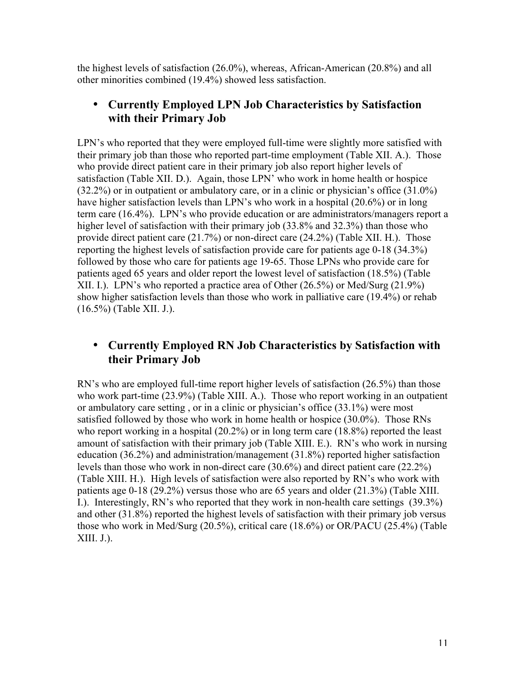the highest levels of satisfaction (26.0%), whereas, African-American (20.8%) and all other minorities combined (19.4%) showed less satisfaction.

# • **Currently Employed LPN Job Characteristics by Satisfaction with their Primary Job**

LPN's who reported that they were employed full-time were slightly more satisfied with their primary job than those who reported part-time employment (Table XII. A.). Those who provide direct patient care in their primary job also report higher levels of satisfaction (Table XII. D.). Again, those LPN' who work in home health or hospice (32.2%) or in outpatient or ambulatory care, or in a clinic or physician's office (31.0%) have higher satisfaction levels than LPN's who work in a hospital (20.6%) or in long term care (16.4%). LPN's who provide education or are administrators/managers report a higher level of satisfaction with their primary job (33.8% and 32.3%) than those who provide direct patient care (21.7%) or non-direct care (24.2%) (Table XII. H.). Those reporting the highest levels of satisfaction provide care for patients age 0-18 (34.3%) followed by those who care for patients age 19-65. Those LPNs who provide care for patients aged 65 years and older report the lowest level of satisfaction (18.5%) (Table XII. I.). LPN's who reported a practice area of Other (26.5%) or Med/Surg (21.9%) show higher satisfaction levels than those who work in palliative care (19.4%) or rehab (16.5%) (Table XII. J.).

# • **Currently Employed RN Job Characteristics by Satisfaction with their Primary Job**

RN's who are employed full-time report higher levels of satisfaction (26.5%) than those who work part-time (23.9%) (Table XIII. A.). Those who report working in an outpatient or ambulatory care setting , or in a clinic or physician's office (33.1%) were most satisfied followed by those who work in home health or hospice (30.0%). Those RNs who report working in a hospital (20.2%) or in long term care (18.8%) reported the least amount of satisfaction with their primary job (Table XIII. E.). RN's who work in nursing education (36.2%) and administration/management (31.8%) reported higher satisfaction levels than those who work in non-direct care (30.6%) and direct patient care (22.2%) (Table XIII. H.). High levels of satisfaction were also reported by RN's who work with patients age 0-18 (29.2%) versus those who are 65 years and older (21.3%) (Table XIII. I.). Interestingly, RN's who reported that they work in non-health care settings (39.3%) and other (31.8%) reported the highest levels of satisfaction with their primary job versus those who work in Med/Surg (20.5%), critical care (18.6%) or OR/PACU (25.4%) (Table XIII. J.).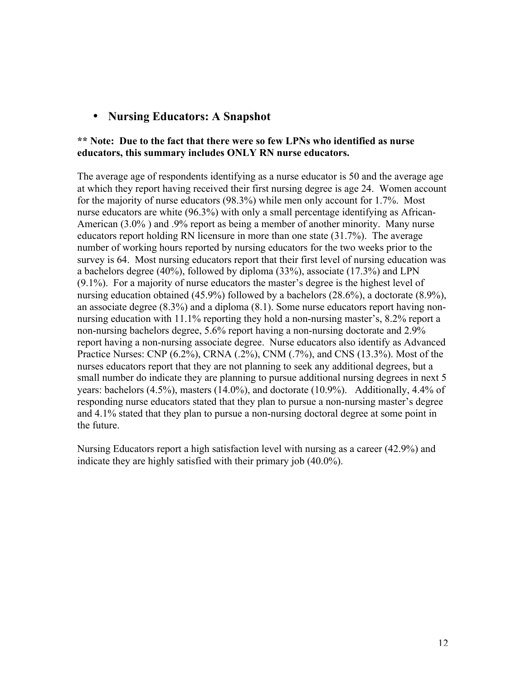## • **Nursing Educators: A Snapshot**

#### **\*\* Note: Due to the fact that there were so few LPNs who identified as nurse educators, this summary includes ONLY RN nurse educators.**

The average age of respondents identifying as a nurse educator is 50 and the average age at which they report having received their first nursing degree is age 24. Women account for the majority of nurse educators (98.3%) while men only account for 1.7%. Most nurse educators are white (96.3%) with only a small percentage identifying as African-American (3.0% ) and .9% report as being a member of another minority. Many nurse educators report holding RN licensure in more than one state (31.7%). The average number of working hours reported by nursing educators for the two weeks prior to the survey is 64. Most nursing educators report that their first level of nursing education was a bachelors degree (40%), followed by diploma (33%), associate (17.3%) and LPN (9.1%). For a majority of nurse educators the master's degree is the highest level of nursing education obtained (45.9%) followed by a bachelors (28.6%), a doctorate (8.9%), an associate degree (8.3%) and a diploma (8.1). Some nurse educators report having nonnursing education with 11.1% reporting they hold a non-nursing master's, 8.2% report a non-nursing bachelors degree, 5.6% report having a non-nursing doctorate and 2.9% report having a non-nursing associate degree. Nurse educators also identify as Advanced Practice Nurses: CNP (6.2%), CRNA (.2%), CNM (.7%), and CNS (13.3%). Most of the nurses educators report that they are not planning to seek any additional degrees, but a small number do indicate they are planning to pursue additional nursing degrees in next 5 years: bachelors (4.5%), masters (14.0%), and doctorate (10.9%). Additionally, 4.4% of responding nurse educators stated that they plan to pursue a non-nursing master's degree and 4.1% stated that they plan to pursue a non-nursing doctoral degree at some point in the future.

Nursing Educators report a high satisfaction level with nursing as a career (42.9%) and indicate they are highly satisfied with their primary job (40.0%).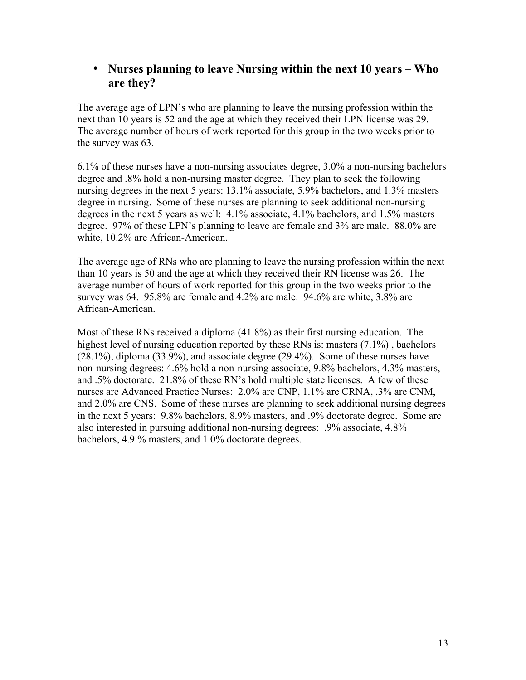# • **Nurses planning to leave Nursing within the next 10 years – Who are they?**

The average age of LPN's who are planning to leave the nursing profession within the next than 10 years is 52 and the age at which they received their LPN license was 29. The average number of hours of work reported for this group in the two weeks prior to the survey was 63.

6.1% of these nurses have a non-nursing associates degree, 3.0% a non-nursing bachelors degree and .8% hold a non-nursing master degree. They plan to seek the following nursing degrees in the next 5 years: 13.1% associate, 5.9% bachelors, and 1.3% masters degree in nursing. Some of these nurses are planning to seek additional non-nursing degrees in the next 5 years as well: 4.1% associate, 4.1% bachelors, and 1.5% masters degree. 97% of these LPN's planning to leave are female and 3% are male. 88.0% are white, 10.2% are African-American.

The average age of RNs who are planning to leave the nursing profession within the next than 10 years is 50 and the age at which they received their RN license was 26. The average number of hours of work reported for this group in the two weeks prior to the survey was 64. 95.8% are female and 4.2% are male. 94.6% are white, 3.8% are African-American.

Most of these RNs received a diploma (41.8%) as their first nursing education. The highest level of nursing education reported by these RNs is: masters (7.1%), bachelors (28.1%), diploma (33.9%), and associate degree (29.4%). Some of these nurses have non-nursing degrees: 4.6% hold a non-nursing associate, 9.8% bachelors, 4.3% masters, and .5% doctorate. 21.8% of these RN's hold multiple state licenses. A few of these nurses are Advanced Practice Nurses: 2.0% are CNP, 1.1% are CRNA, .3% are CNM, and 2.0% are CNS. Some of these nurses are planning to seek additional nursing degrees in the next 5 years: 9.8% bachelors, 8.9% masters, and .9% doctorate degree. Some are also interested in pursuing additional non-nursing degrees: .9% associate, 4.8% bachelors, 4.9 % masters, and 1.0% doctorate degrees.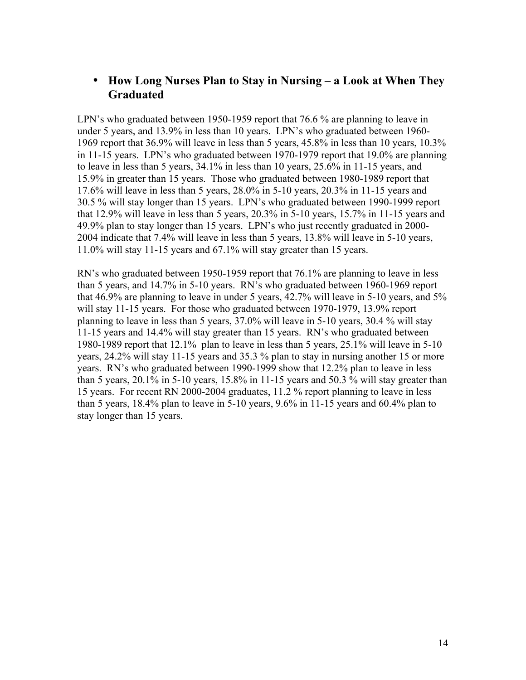## • **How Long Nurses Plan to Stay in Nursing – a Look at When They Graduated**

LPN's who graduated between 1950-1959 report that 76.6 % are planning to leave in under 5 years, and 13.9% in less than 10 years. LPN's who graduated between 1960- 1969 report that 36.9% will leave in less than 5 years, 45.8% in less than 10 years, 10.3% in 11-15 years. LPN's who graduated between 1970-1979 report that 19.0% are planning to leave in less than 5 years, 34.1% in less than 10 years, 25.6% in 11-15 years, and 15.9% in greater than 15 years. Those who graduated between 1980-1989 report that 17.6% will leave in less than 5 years, 28.0% in 5-10 years, 20.3% in 11-15 years and 30.5 % will stay longer than 15 years. LPN's who graduated between 1990-1999 report that 12.9% will leave in less than 5 years, 20.3% in 5-10 years, 15.7% in 11-15 years and 49.9% plan to stay longer than 15 years. LPN's who just recently graduated in 2000- 2004 indicate that 7.4% will leave in less than 5 years, 13.8% will leave in 5-10 years, 11.0% will stay 11-15 years and 67.1% will stay greater than 15 years.

RN's who graduated between 1950-1959 report that 76.1% are planning to leave in less than 5 years, and 14.7% in 5-10 years. RN's who graduated between 1960-1969 report that 46.9% are planning to leave in under 5 years, 42.7% will leave in 5-10 years, and 5% will stay 11-15 years. For those who graduated between 1970-1979, 13.9% report planning to leave in less than 5 years, 37.0% will leave in 5-10 years, 30.4 % will stay 11-15 years and 14.4% will stay greater than 15 years. RN's who graduated between 1980-1989 report that 12.1% plan to leave in less than 5 years, 25.1% will leave in 5-10 years, 24.2% will stay 11-15 years and 35.3 % plan to stay in nursing another 15 or more years. RN's who graduated between 1990-1999 show that 12.2% plan to leave in less than 5 years,  $20.1\%$  in 5-10 years,  $15.8\%$  in 11-15 years and 50.3 % will stay greater than 15 years. For recent RN 2000-2004 graduates, 11.2 % report planning to leave in less than 5 years, 18.4% plan to leave in 5-10 years, 9.6% in 11-15 years and 60.4% plan to stay longer than 15 years.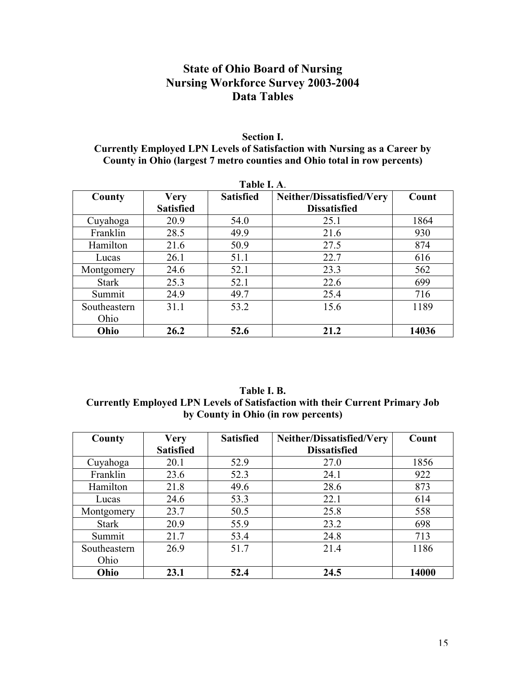# **State of Ohio Board of Nursing Nursing Workforce Survey 2003-2004 Data Tables**

#### **Section I. Currently Employed LPN Levels of Satisfaction with Nursing as a Career by County in Ohio (largest 7 metro counties and Ohio total in row percents)**

| Table I. A.  |                  |                  |                           |       |  |
|--------------|------------------|------------------|---------------------------|-------|--|
| County       | <b>Very</b>      | <b>Satisfied</b> | Neither/Dissatisfied/Very | Count |  |
|              | <b>Satisfied</b> |                  | <b>Dissatisfied</b>       |       |  |
| Cuyahoga     | 20.9             | 54.0             | 25.1                      | 1864  |  |
| Franklin     | 28.5             | 49.9             | 21.6                      | 930   |  |
| Hamilton     | 21.6             | 50.9             | 27.5                      | 874   |  |
| Lucas        | 26.1             | 51.1             | 22.7                      | 616   |  |
| Montgomery   | 24.6             | 52.1             | 23.3                      | 562   |  |
| <b>Stark</b> | 25.3             | 52.1             | 22.6                      | 699   |  |
| Summit       | 24.9             | 49.7             | 25.4                      | 716   |  |
| Southeastern | 31.1             | 53.2             | 15.6                      | 1189  |  |
| Ohio         |                  |                  |                           |       |  |
| Ohio         | 26.2             | 52.6             | 21.2                      | 14036 |  |

**Table I. B. Currently Employed LPN Levels of Satisfaction with their Current Primary Job by County in Ohio (in row percents)**

| County       | <b>Very</b>      | <b>Satisfied</b> | Neither/Dissatisfied/Very | Count |
|--------------|------------------|------------------|---------------------------|-------|
|              | <b>Satisfied</b> |                  | <b>Dissatisfied</b>       |       |
| Cuyahoga     | 20.1             | 52.9             | 27.0                      | 1856  |
| Franklin     | 23.6             | 52.3             | 24.1                      | 922   |
| Hamilton     | 21.8             | 49.6             | 28.6                      | 873   |
| Lucas        | 24.6             | 53.3             | 22.1                      | 614   |
| Montgomery   | 23.7             | 50.5             | 25.8                      | 558   |
| <b>Stark</b> | 20.9             | 55.9             | 23.2                      | 698   |
| Summit       | 21.7             | 53.4             | 24.8                      | 713   |
| Southeastern | 26.9             | 51.7             | 21.4                      | 1186  |
| Ohio         |                  |                  |                           |       |
| Ohio         | 23.1             | 52.4             | 24.5                      | 14000 |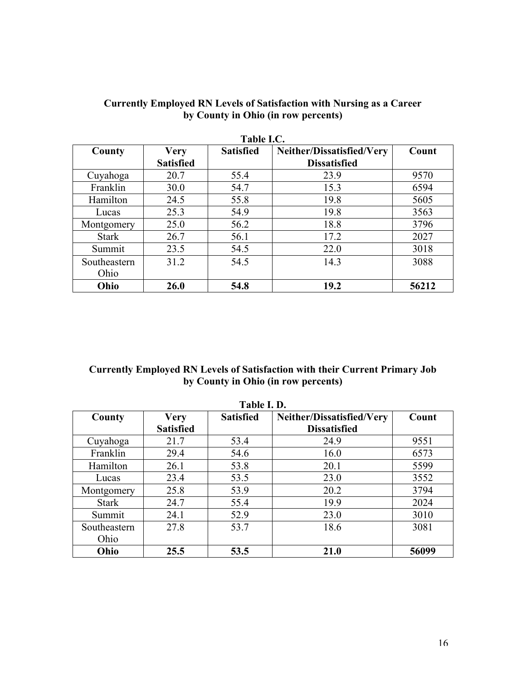| Table I.C.   |                                 |                  |                                                  |       |  |  |
|--------------|---------------------------------|------------------|--------------------------------------------------|-------|--|--|
| County       | <b>Very</b><br><b>Satisfied</b> | <b>Satisfied</b> | Neither/Dissatisfied/Very<br><b>Dissatisfied</b> | Count |  |  |
|              |                                 |                  |                                                  |       |  |  |
| Cuyahoga     | 20.7                            | 55.4             | 23.9                                             | 9570  |  |  |
| Franklin     | 30.0                            | 54.7             | 15.3                                             | 6594  |  |  |
| Hamilton     | 24.5                            | 55.8             | 19.8                                             | 5605  |  |  |
| Lucas        | 25.3                            | 54.9             | 19.8                                             | 3563  |  |  |
| Montgomery   | 25.0                            | 56.2             | 18.8                                             | 3796  |  |  |
| <b>Stark</b> | 26.7                            | 56.1             | 17.2                                             | 2027  |  |  |
| Summit       | 23.5                            | 54.5             | 22.0                                             | 3018  |  |  |
| Southeastern | 31.2                            | 54.5             | 14.3                                             | 3088  |  |  |
| Ohio         |                                 |                  |                                                  |       |  |  |
| Ohio         | 26.0                            | 54.8             | 19.2                                             | 56212 |  |  |

#### **Currently Employed RN Levels of Satisfaction with Nursing as a Career by County in Ohio (in row percents)**

### **Currently Employed RN Levels of Satisfaction with their Current Primary Job by County in Ohio (in row percents)**

| County       | Very             | <b>Satisfied</b> | Neither/Dissatisfied/Very | Count |
|--------------|------------------|------------------|---------------------------|-------|
|              | <b>Satisfied</b> |                  | <b>Dissatisfied</b>       |       |
| Cuyahoga     | 21.7             | 53.4             | 24.9                      | 9551  |
| Franklin     | 29.4             | 54.6             | 16.0                      | 6573  |
| Hamilton     | 26.1             | 53.8             | 20.1                      | 5599  |
| Lucas        | 23.4             | 53.5             | 23.0                      | 3552  |
| Montgomery   | 25.8             | 53.9             | 20.2                      | 3794  |
| <b>Stark</b> | 24.7             | 55.4             | 19.9                      | 2024  |
| Summit       | 24.1             | 52.9             | 23.0                      | 3010  |
| Southeastern | 27.8             | 53.7             | 18.6                      | 3081  |
| Ohio         |                  |                  |                           |       |
| Ohio         | 25.5             | 53.5             | 21.0                      | 56099 |

**Table I. D.**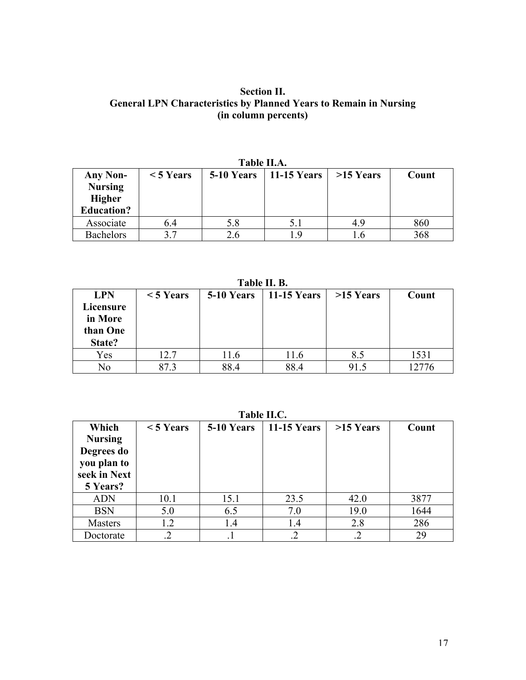### **Section II. General LPN Characteristics by Planned Years to Remain in Nursing (in column percents)**

| Table II.A.                                                             |             |            |                    |             |       |  |
|-------------------------------------------------------------------------|-------------|------------|--------------------|-------------|-------|--|
| <b>Any Non-</b><br><b>Nursing</b><br><b>Higher</b><br><b>Education?</b> | $<$ 5 Years | 5-10 Years | <b>11-15 Years</b> | $>15$ Years | Count |  |
| Associate                                                               | 6.4         | 5.8        |                    | 4.9         | 860   |  |
| <b>Bachelors</b>                                                        |             | 2.6        | 19                 |             | 368   |  |

**Table II. B.**

| <b>LPN</b><br>Licensure<br>in More<br>than One<br>State? | $<$ 5 Years | 5-10 Years | 1001 110 D<br><b>11-15 Years</b> | $>15$ Years | Count |
|----------------------------------------------------------|-------------|------------|----------------------------------|-------------|-------|
| Yes                                                      | 12.7        | 11.6       | 11.6                             | 8.5         | 1531  |
| No                                                       |             | 88.4       | 88.4                             | 91.5        | 2776  |

**Table II.C.**

|                |             |            | L'AVIC LL.U.       |           |       |
|----------------|-------------|------------|--------------------|-----------|-------|
| Which          | $<$ 5 Years | 5-10 Years | <b>11-15 Years</b> | >15 Years | Count |
| <b>Nursing</b> |             |            |                    |           |       |
| Degrees do     |             |            |                    |           |       |
| you plan to    |             |            |                    |           |       |
| seek in Next   |             |            |                    |           |       |
| 5 Years?       |             |            |                    |           |       |
| <b>ADN</b>     | 10.1        | 15.1       | 23.5               | 42.0      | 3877  |
| <b>BSN</b>     | 5.0         | 6.5        | 7.0                | 19.0      | 1644  |
| <b>Masters</b> | 1.2         | 1.4        | 1.4                | 2.8       | 286   |
| Doctorate      |             |            |                    | .2        | 29    |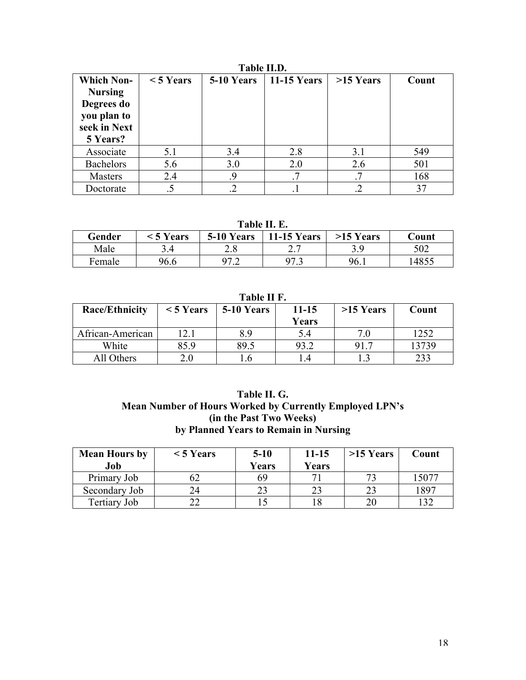| <b>Which Non-</b><br><b>Nursing</b><br>Degrees do<br>you plan to<br>seek in Next<br>5 Years? | $<$ 5 Years | 5-10 Years | <b>11-15 Years</b> | $>15$ Years | Count |
|----------------------------------------------------------------------------------------------|-------------|------------|--------------------|-------------|-------|
| Associate                                                                                    | 5.1         | 3.4        | 2.8                | 3.1         | 549   |
| <b>Bachelors</b>                                                                             | 5.6         | 3.0        | 2.0                | 2.6         | 501   |
| <b>Masters</b>                                                                               | 2.4         | 9.         | .7                 | .7          | 168   |
| Doctorate                                                                                    |             |            |                    | .2          | 37    |

**Table II.D.**

**Table II. E.**

| Gender | < 5 Years | 5-10 Years | <b>11-15 Years</b> | $>15$ Years | Count |
|--------|-----------|------------|--------------------|-------------|-------|
| Male   |           | ∠.∪        | ົ                  |             | 502   |
| Female | 96.6      | ר דה       | $07^{\circ}$<br>   | 96.1        | .4855 |

**Table II F.**

| Race/Ethnicity   | $<$ 5 Years | 5-10 Years | $11 - 15$<br>Years | $>15$ Years | Count |
|------------------|-------------|------------|--------------------|-------------|-------|
| African-American | 12.1        | 8.9        | 5.4                |             | 1252  |
| White            | 85.9        | 89.5       | 93.2               | 91.7        | 13739 |
| All Others       | $2.0\,$     | $.6$       | . .4               |             | 233   |

**Table II. G. Mean Number of Hours Worked by Currently Employed LPN's (in the Past Two Weeks) by Planned Years to Remain in Nursing**

| <b>Mean Hours by</b> | $<$ 5 Years | $5-10$ | $11 - 15$ | $>15$ Years | Count |
|----------------------|-------------|--------|-----------|-------------|-------|
| Job                  |             | Years  | Years     |             |       |
| Primary Job          | 22          | 69     |           |             | 15077 |
| Secondary Job        |             |        | 23        | 23          | 1897  |
| Tertiary Job         |             |        |           |             |       |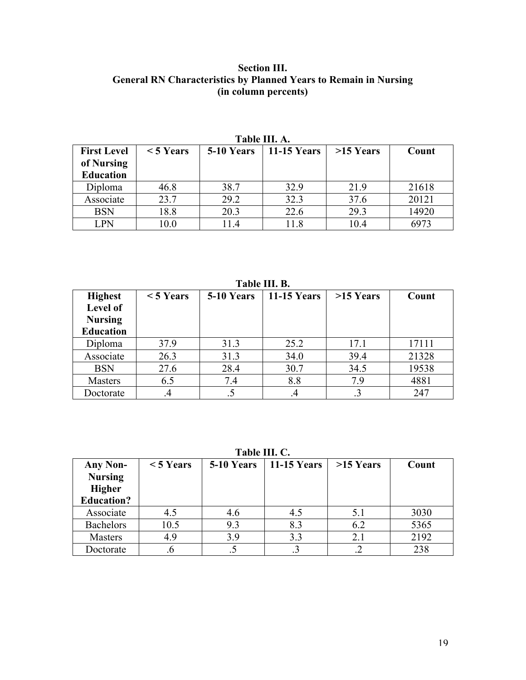**Section III. General RN Characteristics by Planned Years to Remain in Nursing (in column percents)**

| 1 avie 111. A.     |             |            |               |             |       |  |
|--------------------|-------------|------------|---------------|-------------|-------|--|
| <b>First Level</b> | $<$ 5 Years | 5-10 Years | $11-15$ Years | $>15$ Years | Count |  |
| of Nursing         |             |            |               |             |       |  |
| <b>Education</b>   |             |            |               |             |       |  |
| Diploma            | 46.8        | 38.7       | 32.9          | 21.9        | 21618 |  |
| Associate          | 23.7        | 29.2       | 32.3          | 37.6        | 20121 |  |
| <b>BSN</b>         | 18.8        | 20.3       | 22.6          | 29.3        | 14920 |  |
| <b>LPN</b>         | 10.0        | 11.4       | 11.8          | 10.4        | 6973  |  |

**Table III. A.**

| тане пг. р.      |             |            |                    |           |       |  |  |  |
|------------------|-------------|------------|--------------------|-----------|-------|--|--|--|
| <b>Highest</b>   | $<$ 5 Years | 5-10 Years | <b>11-15 Years</b> | >15 Years | Count |  |  |  |
| Level of         |             |            |                    |           |       |  |  |  |
| <b>Nursing</b>   |             |            |                    |           |       |  |  |  |
| <b>Education</b> |             |            |                    |           |       |  |  |  |
| Diploma          | 37.9        | 31.3       | 25.2               | 17.1      | 17111 |  |  |  |
| Associate        | 26.3        | 31.3       | 34.0               | 39.4      | 21328 |  |  |  |
| <b>BSN</b>       | 27.6        | 28.4       | 30.7               | 34.5      | 19538 |  |  |  |
| <b>Masters</b>   | 6.5         | 7.4        | 8.8                | 7.9       | 4881  |  |  |  |
| Doctorate        | .4          |            | .4                 |           | 247   |  |  |  |

**Table III. B.**

**Table III. C.**

| Tanic III. C.     |             |            |                    |             |       |  |  |  |  |
|-------------------|-------------|------------|--------------------|-------------|-------|--|--|--|--|
| <b>Any Non-</b>   | $<$ 5 Years | 5-10 Years | <b>11-15 Years</b> | $>15$ Years | Count |  |  |  |  |
| <b>Nursing</b>    |             |            |                    |             |       |  |  |  |  |
| <b>Higher</b>     |             |            |                    |             |       |  |  |  |  |
| <b>Education?</b> |             |            |                    |             |       |  |  |  |  |
| Associate         | 4.5         | 4.6        | 4.5                | 5.1         | 3030  |  |  |  |  |
| Bachelors         | 10.5        | 9.3        | 8.3                | 6.2         | 5365  |  |  |  |  |
| <b>Masters</b>    | 4.9         | 3.9        | 3.3                | 2.1         | 2192  |  |  |  |  |
| Doctorate         |             |            |                    |             | 238   |  |  |  |  |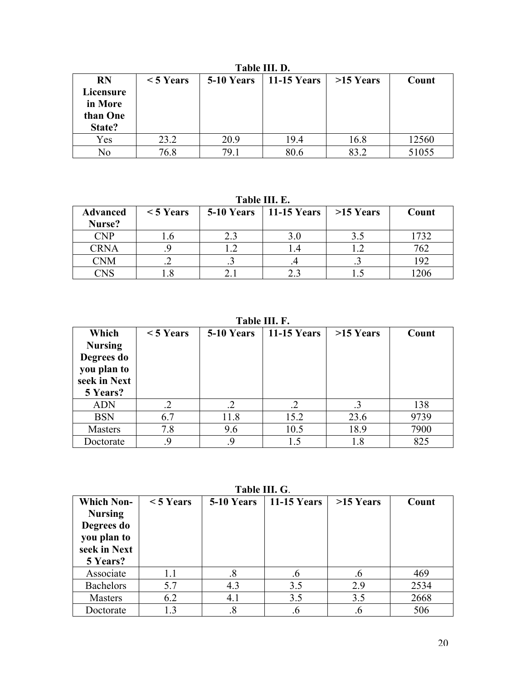| таріс пі. р. |             |            |                    |             |       |  |  |  |
|--------------|-------------|------------|--------------------|-------------|-------|--|--|--|
| <b>RN</b>    | $<$ 5 Years | 5-10 Years | <b>11-15 Years</b> | $>15$ Years | Count |  |  |  |
| Licensure    |             |            |                    |             |       |  |  |  |
| in More      |             |            |                    |             |       |  |  |  |
| than One     |             |            |                    |             |       |  |  |  |
| State?       |             |            |                    |             |       |  |  |  |
| Yes          | 23.2        | 20.9       | 19.4               | 16.8        | 12560 |  |  |  |
| No           | 76.8        | 79.1       | 80.6               | 83.2        | 51055 |  |  |  |

**Table III. D.**

**Table III. E.**

| Advanced    | $<$ 5 Years | 5-10 Years | <b>11-15 Years</b> | >15 Years | Count |
|-------------|-------------|------------|--------------------|-----------|-------|
| Nurse?      |             |            |                    |           |       |
| <b>CNP</b>  |             | 2.3        | 3.0                |           | 1732  |
| <b>CRNA</b> |             |            |                    |           | 762   |
| CNM         | . .         |            |                    | --        | 192   |
| <b>NS</b>   |             |            |                    |           | ' 206 |

**Table III. F.**

| Which<br><b>Nursing</b><br>Degrees do<br>you plan to<br>seek in Next<br>5 Years? | $<$ 5 Years | 5-10 Years | <b>11-15 Years</b> | >15 Years | Count |
|----------------------------------------------------------------------------------|-------------|------------|--------------------|-----------|-------|
| <b>ADN</b>                                                                       | $\cdot$ .2  |            |                    |           | 138   |
| <b>BSN</b>                                                                       | 6.7         | 11.8       | 15.2               | 23.6      | 9739  |
| <b>Masters</b>                                                                   | 7.8         | 9.6        | 10.5               | 18.9      | 7900  |
| Doctorate                                                                        | 9.          |            | 1.5                | 1.8       | 825   |

**Table III. G**.

| 1 avit 111. U.                                                                               |             |            |             |             |       |  |  |  |
|----------------------------------------------------------------------------------------------|-------------|------------|-------------|-------------|-------|--|--|--|
| <b>Which Non-</b><br><b>Nursing</b><br>Degrees do<br>you plan to<br>seek in Next<br>5 Years? | $<$ 5 Years | 5-10 Years | 11-15 Years | $>15$ Years | Count |  |  |  |
| Associate                                                                                    | 1.1         | .8         | .6          | $\cdot$     | 469   |  |  |  |
| <b>Bachelors</b>                                                                             | 5.7         | 4.3        | 3.5         | 2.9         | 2534  |  |  |  |
| <b>Masters</b>                                                                               | 6.2         | 4.1        | 3.5         | 3.5         | 2668  |  |  |  |
| Doctorate                                                                                    | 13          | .8         | .6          | .6          | 506   |  |  |  |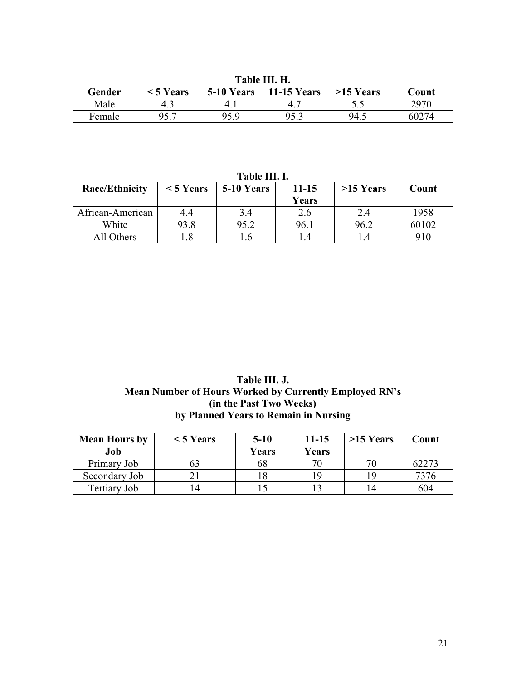| 1 AVIV 111. 11. |             |            |                    |           |       |  |  |  |
|-----------------|-------------|------------|--------------------|-----------|-------|--|--|--|
| Gender          | $<$ 5 Years | 5-10 Years | <b>11-15 Years</b> | >15 Years | Count |  |  |  |
| Male            |             | 4.         | $\sim$ $\sim$      | D.J       | 2970  |  |  |  |
| Female          | 95.7        | 95.9       | 95.3               | 94.5      | 60274 |  |  |  |

**Table III. H.**

**Table III. I.**

| Race/Ethnicity   | $<$ 5 Years | 5-10 Years | $11 - 15$ | $>15$ Years | Count |
|------------------|-------------|------------|-----------|-------------|-------|
|                  |             |            | Years     |             |       |
| African-American | 4.4         | 3.4        | 2.6       | 2.4         | 1958  |
| White            | 93.8        | 95.2       | 96.1      | 96.2        | 60102 |
| All Others       |             |            | $\cdot$   | .4          | 910   |

**Table III. J. Mean Number of Hours Worked by Currently Employed RN's (in the Past Two Weeks) by Planned Years to Remain in Nursing**

| <b>Mean Hours by</b> | $<$ 5 Years    | $5 - 10$ | $11 - 15$ | $>15$ Years | Count |
|----------------------|----------------|----------|-----------|-------------|-------|
| Job                  |                | Years    | Years     |             |       |
| Primary Job          | OŚ             | 68       | 70        | 70          | 62273 |
| Secondary Job        |                |          | 19        |             | 7376  |
| Tertiary Job         | $\overline{4}$ |          |           | 14          | 604   |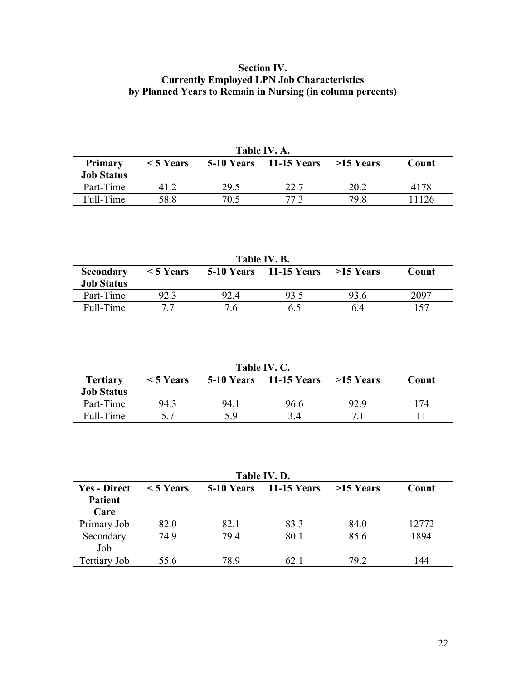### **Section IV. Currently Employed LPN Job Characteristics by Planned Years to Remain in Nursing (in column percents)**

| 1 AVIV 1 Y . A.   |             |            |                    |             |       |  |  |  |
|-------------------|-------------|------------|--------------------|-------------|-------|--|--|--|
| Primary           | $<$ 5 Years | 5-10 Years | <b>11-15 Years</b> | $>15$ Years | Count |  |  |  |
| <b>Job Status</b> |             |            |                    |             |       |  |  |  |
| Part-Time         | 41.2        | 29.5       | 22.7               | 20.2        | 4178  |  |  |  |
| Full-Time         | 58.8        | 70.5       | 77.3               | 79.8        | .1126 |  |  |  |

**Table IV. A.**

**Table IV. B.**

| Secondary<br><b>Job Status</b> | $\leq$ 5 Years | 5-10 Years | <b>11-15 Years</b> | $>15$ Years | Count |
|--------------------------------|----------------|------------|--------------------|-------------|-------|
| Part-Time                      | 92.3           | 92.4       | 93.5               | 93.6        | 2097  |
| Full-Time                      | די             | 7.6        | 6.5                | 6.4         | 157   |

**Table IV. C.**

| <b>Tertiary</b><br><b>Job Status</b> | $<$ 5 Years | 5-10 Years | <b>11-15 Years</b> | $>15$ Years | Count |
|--------------------------------------|-------------|------------|--------------------|-------------|-------|
| Part-Time                            | 94.3        | 94.1       | 96.6               | 92.9        | 174   |
| Full-Time                            |             | 5 Q        | 3.4                |             |       |

**Table IV. D.**

| <b>Yes - Direct</b> | $<$ 5 Years | 5-10 Years | <b>11-15 Years</b> | $>15$ Years | Count |
|---------------------|-------------|------------|--------------------|-------------|-------|
| <b>Patient</b>      |             |            |                    |             |       |
| Care                |             |            |                    |             |       |
| Primary Job         | 82.0        | 82.1       | 83.3               | 84.0        | 12772 |
| Secondary           | 74.9        | 79.4       | 80.1               | 85.6        | 1894  |
| Job                 |             |            |                    |             |       |
| Tertiary Job        | 55.6        | 78.9       | 62.1               | 79.2        | 144   |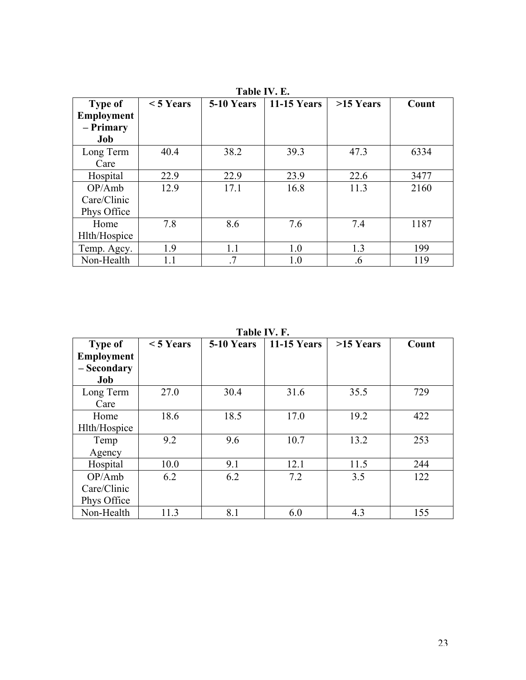| <b>Type of</b> | $<$ 5 Years | 5-10 Years | <b>11-15 Years</b> | >15 Years | Count |
|----------------|-------------|------------|--------------------|-----------|-------|
| Employment     |             |            |                    |           |       |
| - Primary      |             |            |                    |           |       |
| Job            |             |            |                    |           |       |
| Long Term      | 40.4        | 38.2       | 39.3               | 47.3      | 6334  |
| Care           |             |            |                    |           |       |
| Hospital       | 22.9        | 22.9       | 23.9               | 22.6      | 3477  |
| OP/Amb         | 12.9        | 17.1       | 16.8               | 11.3      | 2160  |
| Care/Clinic    |             |            |                    |           |       |
| Phys Office    |             |            |                    |           |       |
| Home           | 7.8         | 8.6        | 7.6                | 7.4       | 1187  |
| Hlth/Hospice   |             |            |                    |           |       |
| Temp. Agcy.    | 1.9         | 1.1        | 1.0                | 1.3       | 199   |
| Non-Health     | 1.1         | .7         | 1.0                | .6        | 119   |

**Table IV. E.**

**Table IV. F.**

| <b>Type of</b><br><b>Employment</b><br>- Secondary | $<$ 5 Years | 5-10 Years | <b>11-15 Years</b> | $>15$ Years | Count |
|----------------------------------------------------|-------------|------------|--------------------|-------------|-------|
| Job                                                |             |            |                    |             |       |
| Long Term<br>Care                                  | 27.0        | 30.4       | 31.6               | 35.5        | 729   |
| Home<br>Hlth/Hospice                               | 18.6        | 18.5       | 17.0               | 19.2        | 422   |
| Temp<br>Agency                                     | 9.2         | 9.6        | 10.7               | 13.2        | 253   |
| Hospital                                           | 10.0        | 9.1        | 12.1               | 11.5        | 244   |
| OP/Amb<br>Care/Clinic<br>Phys Office               | 6.2         | 6.2        | 7.2                | 3.5         | 122   |
| Non-Health                                         | 11.3        | 8.1        | 6.0                | 4.3         | 155   |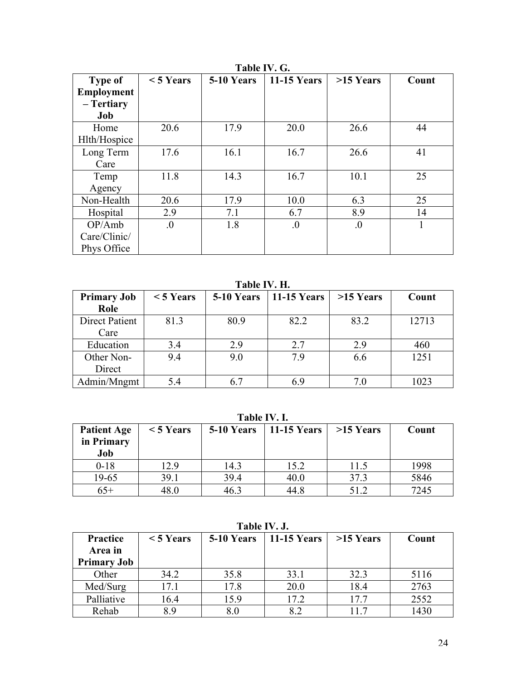|                   |                  | Table IV. G. |                    |           |       |
|-------------------|------------------|--------------|--------------------|-----------|-------|
| <b>Type of</b>    | $<$ 5 Years      | 5-10 Years   | <b>11-15 Years</b> | >15 Years | Count |
| <b>Employment</b> |                  |              |                    |           |       |
| - Tertiary        |                  |              |                    |           |       |
| Job               |                  |              |                    |           |       |
| Home              | 20.6             | 17.9         | 20.0               | 26.6      | 44    |
| Hlth/Hospice      |                  |              |                    |           |       |
| Long Term         | 17.6             | 16.1         | 16.7               | 26.6      | 41    |
| Care              |                  |              |                    |           |       |
| Temp              | 11.8             | 14.3         | 16.7               | 10.1      | 25    |
| Agency            |                  |              |                    |           |       |
| Non-Health        | 20.6             | 17.9         | 10.0               | 6.3       | 25    |
| Hospital          | 2.9              | 7.1          | 6.7                | 8.9       | 14    |
| OP/Amb            | $\overline{0}$ . | 1.8          | $\cdot$            | $\cdot$   |       |
| Care/Clinic/      |                  |              |                    |           |       |
| Phys Office       |                  |              |                    |           |       |

**Table IV. G.**

**Table IV. H.**

| <b>Primary Job</b> | $<$ 5 Years | 5-10 Years | 11-15 Years | >15 Years | Count |
|--------------------|-------------|------------|-------------|-----------|-------|
| Role               |             |            |             |           |       |
| Direct Patient     | 81.3        | 80.9       | 82.2        | 83.2      | 12713 |
| Care               |             |            |             |           |       |
| Education          | 3.4         | 2.9        | 2.7         | 2.9       | 460   |
| Other Non-         | 9.4         | 9.0        | 7.9         | 6.6       | 1251  |
| Direct             |             |            |             |           |       |
| Admin/Mngmt        | 5.4         |            | 6.9         | 7.0       | 1023  |

**Table IV. I.**

| <b>Patient Age</b><br>in Primary<br>Job | $<$ 5 Years | 5-10 Years | 11-15 Years | $>15$ Years | Count |
|-----------------------------------------|-------------|------------|-------------|-------------|-------|
| $0-18$                                  | 12.9        | 14.3       | 15.2        | 11.5        | 1998  |
| 19-65                                   | 39.1        | 39.4       | 40.0        | 37.3        | 5846  |
| $65+$                                   | 48.0        | 46.3       | 44.8        | 51.2        | 7245  |

**Table IV. J.**

| Practice<br>Area in | $<$ 5 Years | 5-10 Years | <b>11-15 Years</b> | $>15$ Years | Count |
|---------------------|-------------|------------|--------------------|-------------|-------|
| <b>Primary Job</b>  |             |            |                    |             |       |
| Other               | 34.2        | 35.8       | 33.1               | 32.3        | 5116  |
| Med/Surg            | 17.1        | 17.8       | 20.0               | 18.4        | 2763  |
| Palliative          | 16.4        | 15.9       | 17.2               | 17.7        | 2552  |
| Rehab               | 8.9         | 8.0        | 8.2                | 11.7        | 1430  |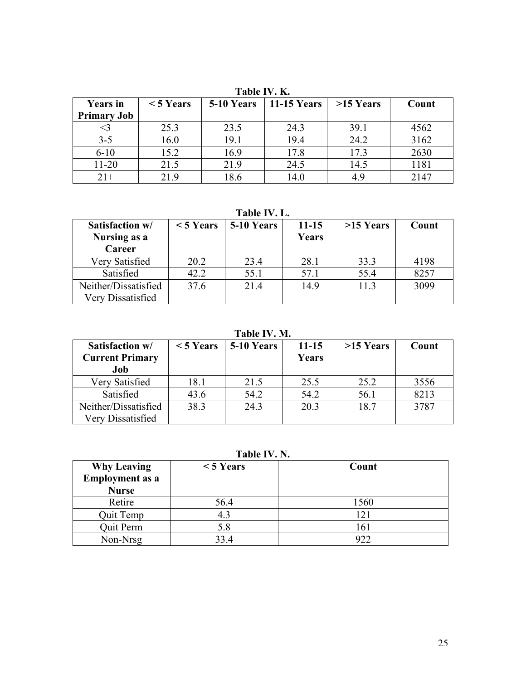| <b>Years</b> in    | $<$ 5 Years | 5-10 Years | <b>11-15 Years</b> | $>15$ Years | Count |
|--------------------|-------------|------------|--------------------|-------------|-------|
| <b>Primary Job</b> |             |            |                    |             |       |
| $<$ 3              | 25.3        | 23.5       | 24.3               | 39.1        | 4562  |
| $3 - 5$            | 16.0        | 19.1       | 19.4               | 24.2        | 3162  |
| $6 - 10$           | 15.2        | 16.9       | 17.8               | 17.3        | 2630  |
| $11 - 20$          | 21.5        | 21.9       | 24.5               | 14.5        | 1181  |
| $21+$              | 219         | 18.6       | 14.0               | 4.9         | 2147  |

**Table IV. K.**

**Table IV. L.**

| Satisfaction w/<br>Nursing as a<br>Career | $<$ 5 Years | 5-10 Years | $11 - 15$<br>Years | $>15$ Years | Count |
|-------------------------------------------|-------------|------------|--------------------|-------------|-------|
| Very Satisfied                            | 20.2        | 23.4       | 28.1               | 33.3        | 4198  |
| Satisfied                                 | 42.2        | 55.1       | 57.1               | 55.4        | 8257  |
| Neither/Dissatisfied<br>Very Dissatisfied | 37.6        | 21.4       | 14.9               | 11.3        | 3099  |

**Table IV. M.**

|                                                  |             | 1 AVIV 1 1 0 1710 |                  |             |       |
|--------------------------------------------------|-------------|-------------------|------------------|-------------|-------|
| Satisfaction w/<br><b>Current Primary</b><br>Job | $<$ 5 Years | 5-10 Years        | $11-15$<br>Years | $>15$ Years | Count |
| Very Satisfied                                   | 18.1        | 21.5              | 25.5             | 25.2        | 3556  |
| Satisfied                                        | 43.6        | 54.2              | 54.2             | 56.1        | 8213  |
| Neither/Dissatisfied                             | 38.3        | 24.3              | 20.3             | 18.7        | 3787  |
| Very Dissatisfied                                |             |                   |                  |             |       |

**Table IV. N.**

|                                                              | - - - - - - |       |
|--------------------------------------------------------------|-------------|-------|
| <b>Why Leaving</b><br><b>Employment</b> as a<br><b>Nurse</b> | $<$ 5 Years | Count |
| Retire                                                       | 56.4        | 1560  |
| Quit Temp                                                    | 4.3         | 121   |
| Quit Perm                                                    | 5.8         | 161   |
| Non-Nrsg                                                     | 33.4        | 922   |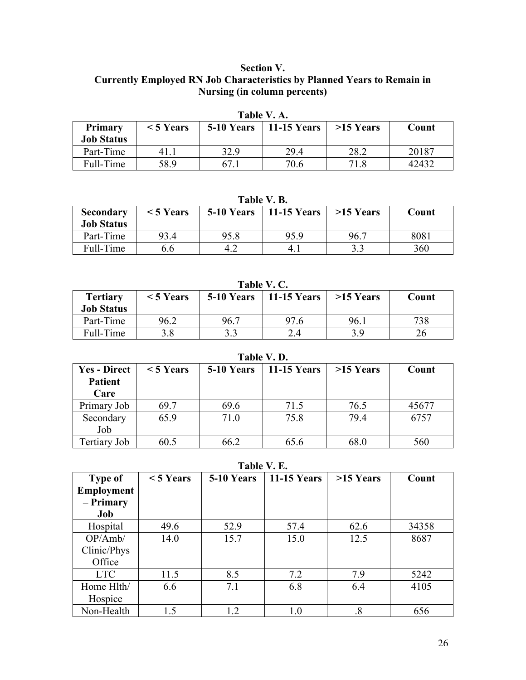## **Section V. Currently Employed RN Job Characteristics by Planned Years to Remain in Nursing (in column percents)**

| 1 able V. A.      |                |            |                    |             |       |  |  |
|-------------------|----------------|------------|--------------------|-------------|-------|--|--|
| <b>Primary</b>    | $\leq$ 5 Years | 5-10 Years | <b>11-15 Years</b> | $>15$ Years | Count |  |  |
| <b>Job Status</b> |                |            |                    |             |       |  |  |
| Part-Time         | 41             | 32.9       | 29.4               | 28.2        | 20187 |  |  |
| Full-Time         | 58.9           | 67 1       | 70.6               | 71.8        | 42432 |  |  |

**Table V. A.**

| Table V.B. |  |  |
|------------|--|--|

| Secondary<br><b>Job Status</b> | $\leq$ 5 Years | 5-10 Years | <b>11-15 Years</b> | $>15$ Years | Count |
|--------------------------------|----------------|------------|--------------------|-------------|-------|
| Part-Time                      | 93.4           | 95.8       | 95.9               | 96.7        | 8081  |
| Full-Time                      | 6.6            | 4.2        |                    |             | 360   |

**Table V. C.**

| <b>Tertiary</b><br><b>Job Status</b> | $<$ 5 Years | 5-10 Years | $11-15$ Years $^{\circ}$ | $>15$ Years | Count |
|--------------------------------------|-------------|------------|--------------------------|-------------|-------|
| Part-Time                            | 96.2        | 96.7       | 97.6                     | 96.1        | 738   |
| Full-Time                            | 2 Q         |            | 2.4                      | 3 Q         | 26    |

#### **Table V. D.**

| <b>Yes - Direct</b><br><b>Patient</b><br>Care | $<$ 5 Years | 5-10 Years | <b>11-15 Years</b> | $>15$ Years | Count |
|-----------------------------------------------|-------------|------------|--------------------|-------------|-------|
|                                               |             |            |                    |             |       |
| Primary Job                                   | 69.7        | 69.6       | 71.5               | 76.5        | 45677 |
| Secondary<br>Job                              | 65.9        | 71.0       | 75.8               | 79.4        | 6757  |
| Tertiary Job                                  | 60.5        | 66.2       | 65.6               | 68.0        | 560   |

**Table V. E.**

| <b>Type of</b>    | $<$ 5 Years | 5-10 Years | <b>11-15 Years</b> | $>15$ Years | Count |
|-------------------|-------------|------------|--------------------|-------------|-------|
| <b>Employment</b> |             |            |                    |             |       |
| - Primary         |             |            |                    |             |       |
| Job               |             |            |                    |             |       |
| Hospital          | 49.6        | 52.9       | 57.4               | 62.6        | 34358 |
| OP/Amb/           | 14.0        | 15.7       | 15.0               | 12.5        | 8687  |
| Clinic/Phys       |             |            |                    |             |       |
| Office            |             |            |                    |             |       |
| <b>LTC</b>        | 11.5        | 8.5        | 7.2                | 7.9         | 5242  |
| Home Hlth/        | 6.6         | 7.1        | 6.8                | 6.4         | 4105  |
| Hospice           |             |            |                    |             |       |
| Non-Health        | 1.5         | 1.2        | 1.0                | .8          | 656   |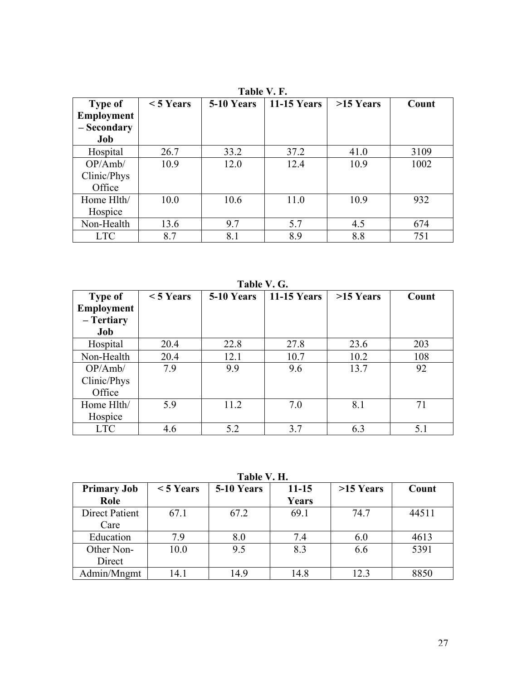| <b>Type of</b>    | $<$ 5 Years | 5-10 Years | <b>11-15 Years</b> | $>15$ Years | Count |
|-------------------|-------------|------------|--------------------|-------------|-------|
| <b>Employment</b> |             |            |                    |             |       |
| - Secondary       |             |            |                    |             |       |
| Job               |             |            |                    |             |       |
| Hospital          | 26.7        | 33.2       | 37.2               | 41.0        | 3109  |
| OP/Amb/           | 10.9        | 12.0       | 12.4               | 10.9        | 1002  |
| Clinic/Phys       |             |            |                    |             |       |
| Office            |             |            |                    |             |       |
| Home Hlth/        | 10.0        | 10.6       | 11.0               | 10.9        | 932   |
| Hospice           |             |            |                    |             |       |
| Non-Health        | 13.6        | 9.7        | 5.7                | 4.5         | 674   |
| <b>LTC</b>        | 8.7         | 8.1        | 8.9                | 8.8         | 751   |

**Table V. F.**

**Table V. G.**

| <b>Type of</b>    | $<$ 5 Years | 5-10 Years | <b>11-15 Years</b> | >15 Years | Count |
|-------------------|-------------|------------|--------------------|-----------|-------|
| <b>Employment</b> |             |            |                    |           |       |
| - Tertiary        |             |            |                    |           |       |
| Job               |             |            |                    |           |       |
| Hospital          | 20.4        | 22.8       | 27.8               | 23.6      | 203   |
| Non-Health        | 20.4        | 12.1       | 10.7               | 10.2      | 108   |
| OP/Amb/           | 7.9         | 9.9        | 9.6                | 13.7      | 92    |
| Clinic/Phys       |             |            |                    |           |       |
| Office            |             |            |                    |           |       |
| Home Hlth/        | 5.9         | 11.2       | 7.0                | 8.1       | 71    |
| Hospice           |             |            |                    |           |       |
| <b>LTC</b>        | 4.6         | 5.2        | 3.7                | 6.3       | 5.1   |

**Table V. H.**

| <b>Primary Job</b> | $<$ 5 Years | 5-10 Years | $11 - 15$ | >15 Years | Count |
|--------------------|-------------|------------|-----------|-----------|-------|
| Role               |             |            | Years     |           |       |
| Direct Patient     | 67.1        | 67.2       | 69.1      | 74.7      | 44511 |
| Care               |             |            |           |           |       |
| Education          | 7.9         | 8.0        | 7.4       | 6.0       | 4613  |
| Other Non-         | 10.0        | 9.5        | 8.3       | 6.6       | 5391  |
| Direct             |             |            |           |           |       |
| Admin/Mngmt        | 14.1        | 14.9       | 14.8      | 12.3      | 8850  |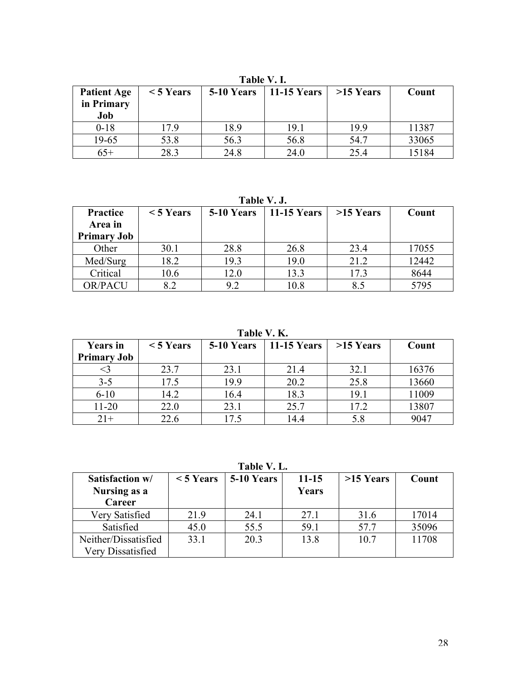| <b>Patient Age</b><br>in Primary<br>Job | $<$ 5 Years | 5-10 Years | <b>11-15 Years</b> | >15 Years | Count |
|-----------------------------------------|-------------|------------|--------------------|-----------|-------|
| $0 - 18$                                | 17.9        | 18.9       | 19.1               | 19.9      | 11387 |
| 19-65                                   | 53.8        | 56.3       | 56.8               | 54.7      | 33065 |
| $65+$                                   | 28.3        | 24.8       | 24.0               | 25.4      | 15184 |

**Table V. I.**

**Table V. J.**

| <b>Practice</b><br>Area in<br><b>Primary Job</b> | $<$ 5 Years | 5-10 Years | <b>11-15 Years</b> | $>15$ Years | Count |
|--------------------------------------------------|-------------|------------|--------------------|-------------|-------|
| Other                                            | 30.1        | 28.8       | 26.8               | 23.4        | 17055 |
| Med/Surg                                         | 18.2        | 19.3       | 19.0               | 21.2        | 12442 |
| Critical                                         | 10.6        | 12.0       | 13.3               | 17.3        | 8644  |
| <b>OR/PACU</b>                                   | 8.2         | 9.2        | 10.8               | 8.5         | 5795  |

**Table V. K.**

| <b>Years in</b><br><b>Primary Job</b> | $<$ 5 Years | 5-10 Years | <b>11-15 Years</b> | $>15$ Years | Count |
|---------------------------------------|-------------|------------|--------------------|-------------|-------|
| $<$ 3                                 | 23.7        | 23.1       | 21.4               | 32.1        | 16376 |
| $3 - 5$                               | 17.5        | 19.9       | 20.2               | 25.8        | 13660 |
| $6 - 10$                              | 14.2        | 16.4       | 18.3               | 19.1        | 11009 |
| $11 - 20$                             | 22.0        | 23.1       | 25.7               | 17.2        | 13807 |
| $21+$                                 | 22.6        | 17.5       | 14.4               | 5.8         | 9047  |

**Table V. L.**

| Satisfaction w/<br>Nursing as a<br>Career | $<$ 5 Years | 5-10 Years | $11-15$<br>Years | $>15$ Years | Count |
|-------------------------------------------|-------------|------------|------------------|-------------|-------|
| Very Satisfied                            | 21.9        | 24.1       | 27.1             | 31.6        | 17014 |
| Satisfied                                 | 45.0        | 55.5       | 59.1             | 57.7        | 35096 |
| Neither/Dissatisfied<br>Very Dissatisfied | 33.1        | 20.3       | 13.8             | 10.7        | 11708 |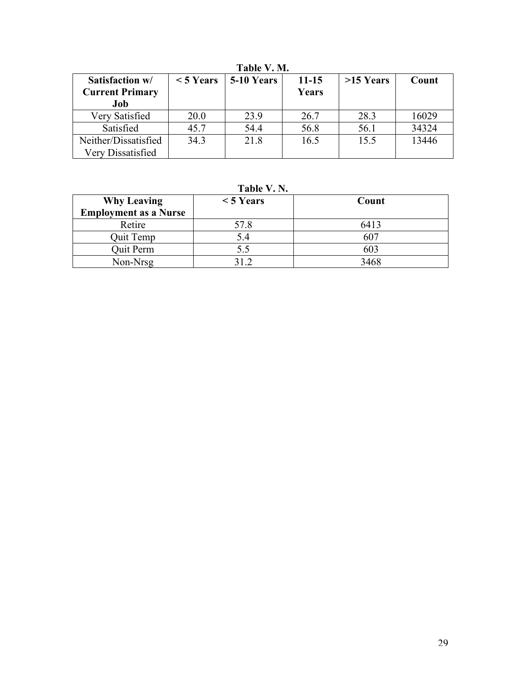| Satisfaction w/<br><b>Current Primary</b><br>Job | $<$ 5 Years | 5-10 Years | $11 - 15$<br>Years | $>15$ Years | Count |
|--------------------------------------------------|-------------|------------|--------------------|-------------|-------|
| Very Satisfied                                   | 20.0        | 23.9       | 26.7               | 28.3        | 16029 |
| Satisfied                                        | 45.7        | 54.4       | 56.8               | 56.1        | 34324 |
| Neither/Dissatisfied<br>Very Dissatisfied        | 34.3        | 21.8       | 16.5               | 15.5        | 13446 |

**Table V. M.**

|  | Table V.N. |  |  |  |
|--|------------|--|--|--|
|--|------------|--|--|--|

| <b>Why Leaving</b><br><b>Employment as a Nurse</b> | $<$ 5 Years | Count |
|----------------------------------------------------|-------------|-------|
| Retire                                             | 57.8        | 6413  |
| Quit Temp                                          | 5.4         | 607   |
| <b>Quit Perm</b>                                   | 5.5         | 603   |
| Non-Nrsg                                           | 312         | 3468  |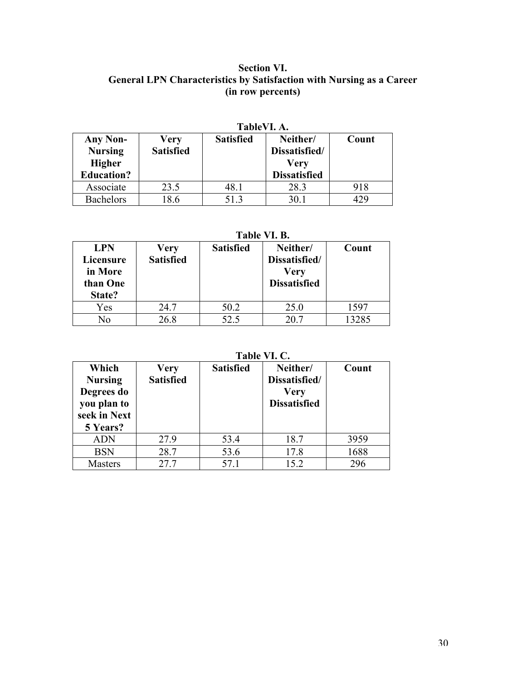### **Section VI. General LPN Characteristics by Satisfaction with Nursing as a Career (in row percents)**

|                                                                         | TableVI. A.                     |                  |                                                                 |       |
|-------------------------------------------------------------------------|---------------------------------|------------------|-----------------------------------------------------------------|-------|
| <b>Any Non-</b><br><b>Nursing</b><br><b>Higher</b><br><b>Education?</b> | <b>Very</b><br><b>Satisfied</b> | <b>Satisfied</b> | Neither/<br>Dissatisfied/<br><b>Very</b><br><b>Dissatisfied</b> | Count |
|                                                                         |                                 |                  |                                                                 |       |
| Associate                                                               | 23.5                            | 48.1             | 28.3                                                            | 918   |
| <b>Bachelors</b>                                                        | 18.6                            | 51.3             | 30.1                                                            |       |

### **Table VI. B.**

| <b>LPN</b><br>Licensure<br>in More<br>than One<br>State? | Very<br><b>Satisfied</b> | <b>Satisfied</b> | Neither/<br>Dissatisfied/<br>Very<br><b>Dissatisfied</b> | Count |
|----------------------------------------------------------|--------------------------|------------------|----------------------------------------------------------|-------|
| Yes                                                      | 24.7                     | 50.2             | 25.0                                                     | 1597  |
| N٥                                                       | 26.8                     | 52.5             | 20.7                                                     | 13285 |

#### **Table VI. C.**

| Which<br><b>Nursing</b><br>Degrees do<br>you plan to<br>seek in Next<br>5 Years? | <b>Very</b><br><b>Satisfied</b> | <b>Satisfied</b> | Neither/<br>Dissatisfied/<br><b>Very</b><br><b>Dissatisfied</b> | Count |
|----------------------------------------------------------------------------------|---------------------------------|------------------|-----------------------------------------------------------------|-------|
| <b>ADN</b>                                                                       | 27.9                            | 53.4             | 18.7                                                            | 3959  |
| <b>BSN</b>                                                                       | 28.7                            | 53.6             | 17.8                                                            | 1688  |
| <b>Masters</b>                                                                   | 27.7                            | 57.1             | 15.2                                                            | 296   |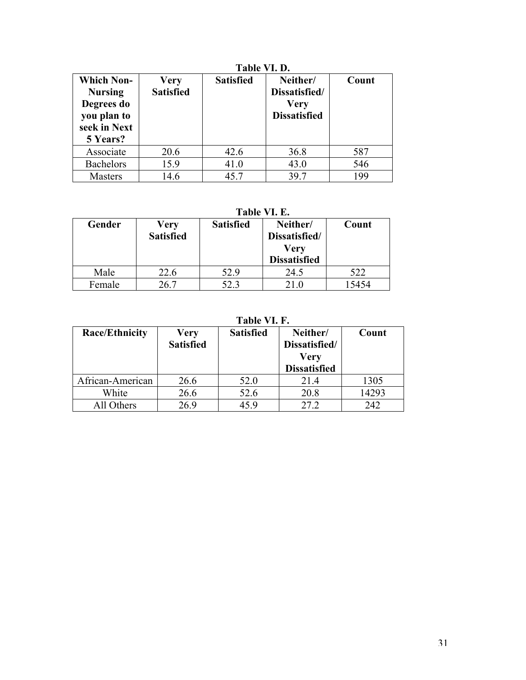|                                                                                              |                          | 1 AVIV 11. D.    |                                                                 |       |
|----------------------------------------------------------------------------------------------|--------------------------|------------------|-----------------------------------------------------------------|-------|
| <b>Which Non-</b><br><b>Nursing</b><br>Degrees do<br>you plan to<br>seek in Next<br>5 Years? | Very<br><b>Satisfied</b> | <b>Satisfied</b> | Neither/<br>Dissatisfied/<br><b>Very</b><br><b>Dissatisfied</b> | Count |
| Associate                                                                                    | 20.6                     | 42.6             | 36.8                                                            | 587   |
| <b>Bachelors</b>                                                                             | 15.9                     | 41.0             | 43.0                                                            | 546   |
| <b>Masters</b>                                                                               | 14.6                     | 45.7             | 39.7                                                            | 199   |

**Table VI. D.**

#### **Table VI. E.**

| Gender | Very<br><b>Satisfied</b> | <b>Satisfied</b> | Neither/<br>Dissatisfied/<br>Very<br><b>Dissatisfied</b> | Count |
|--------|--------------------------|------------------|----------------------------------------------------------|-------|
| Male   | 22.6                     | 52.9             | 24.5                                                     | 522   |
| Female | 26.7                     | 52 3             |                                                          | 15454 |

**Table VI. F.**

| <b>Race/Ethnicity</b> | Very<br><b>Satisfied</b> | <b>Satisfied</b> | Neither/<br>Dissatisfied/<br>Very | Count |
|-----------------------|--------------------------|------------------|-----------------------------------|-------|
| African-American      | 26.6                     | 52.0             | <b>Dissatisfied</b><br>21.4       | 1305  |
| White                 | 26.6                     | 52.6             | 20.8                              | 14293 |
| All Others            | 26.9                     | 459              | 27.2                              | 242   |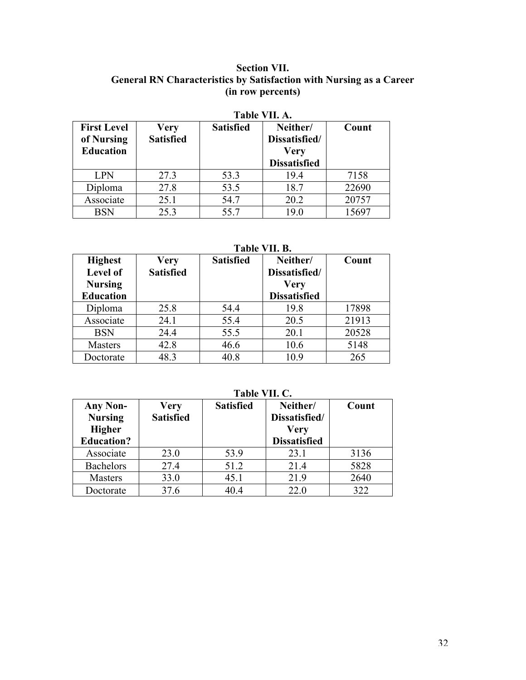### **Section VII. General RN Characteristics by Satisfaction with Nursing as a Career (in row percents)**

|                                                      |                                 |                  | 1 4 5 4 5 $\sim$ 7 4 5 6 5 6 7 5 6       |       |
|------------------------------------------------------|---------------------------------|------------------|------------------------------------------|-------|
| <b>First Level</b><br>of Nursing<br><b>Education</b> | <b>Very</b><br><b>Satisfied</b> | <b>Satisfied</b> | Neither/<br>Dissatisfied/<br><b>Very</b> | Count |
|                                                      |                                 |                  | <b>Dissatisfied</b>                      |       |
|                                                      |                                 |                  |                                          |       |
| <b>LPN</b>                                           | 27.3                            | 53.3             | 19.4                                     | 7158  |
| Diploma                                              | 27.8                            | 53.5             | 18.7                                     | 22690 |
| Associate                                            | 25.1                            | 54.7             | 20.2                                     | 20757 |
| <b>BSN</b>                                           | 25.3                            | 55.7             | 19.0                                     | 15697 |

**Table VII. A.**

### **Table VII. B.**

| <b>Highest</b><br>Level of<br><b>Nursing</b> | <b>Very</b><br><b>Satisfied</b> | <b>Satisfied</b> | Neither/<br>Dissatisfied/<br><b>Very</b> | Count |
|----------------------------------------------|---------------------------------|------------------|------------------------------------------|-------|
| <b>Education</b>                             |                                 |                  | <b>Dissatisfied</b>                      |       |
| Diploma                                      | 25.8                            | 54.4             | 19.8                                     | 17898 |
| Associate                                    | 24.1                            | 55.4             | 20.5                                     | 21913 |
| <b>BSN</b>                                   | 24.4                            | 55.5             | 20.1                                     | 20528 |
| <b>Masters</b>                               | 42.8                            | 46.6             | 10.6                                     | 5148  |
| Doctorate                                    | 48.3                            | 40.8             | 10.9                                     | 265   |

**Table VII. C.**

| <b>Any Non-</b>   | <b>Very</b>      | <b>Satisfied</b> | Neither/            | Count |
|-------------------|------------------|------------------|---------------------|-------|
| <b>Nursing</b>    | <b>Satisfied</b> |                  | Dissatisfied/       |       |
| <b>Higher</b>     |                  |                  | <b>Very</b>         |       |
| <b>Education?</b> |                  |                  | <b>Dissatisfied</b> |       |
| Associate         | 23.0             | 53.9             | 23.1                | 3136  |
| <b>Bachelors</b>  | 27.4             | 51.2             | 21.4                | 5828  |
| <b>Masters</b>    | 33.0             | 45.1             | 21.9                | 2640  |
| Doctorate         | 37.6             | 404              | 22.0                | 322   |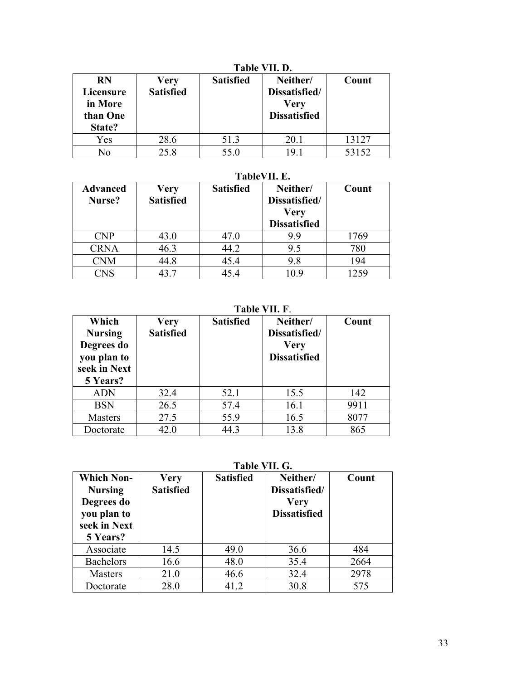| <b>RN</b><br>Licensure<br>in More<br>than One<br>State? | <b>Very</b><br><b>Satisfied</b> | <b>Satisfied</b> | Neither/<br>Dissatisfied/<br>Very<br><b>Dissatisfied</b> | Count |
|---------------------------------------------------------|---------------------------------|------------------|----------------------------------------------------------|-------|
| Yes                                                     | 28.6                            | 51.3             | 20.1                                                     | 13127 |
| N٥                                                      | 25.8                            | 55.0             | 191                                                      | 53152 |

# **Table VII. D.**

## **TableVII. E.**

| <b>Advanced</b><br>Nurse? | <b>Very</b><br><b>Satisfied</b> | <b>Satisfied</b> | Neither/<br>Dissatisfied/<br><b>Very</b><br><b>Dissatisfied</b> | Count |
|---------------------------|---------------------------------|------------------|-----------------------------------------------------------------|-------|
| <b>CNP</b>                | 43.0                            | 47.0             | 9.9                                                             | 1769  |
| <b>CRNA</b>               | 46.3                            | 44.2             | 9.5                                                             | 780   |
| CNM                       | 44.8                            | 45.4             | 9.8                                                             | 194   |
| CNS                       | 43 7                            |                  | 10.9                                                            | 1259  |

## **Table VII. F**.

| Which<br><b>Nursing</b><br>Degrees do<br>you plan to<br>seek in Next<br>5 Years? | <b>Very</b><br><b>Satisfied</b> | <b>Satisfied</b> | Neither/<br>Dissatisfied/<br>Very<br><b>Dissatisfied</b> | Count |
|----------------------------------------------------------------------------------|---------------------------------|------------------|----------------------------------------------------------|-------|
| <b>ADN</b>                                                                       | 32.4                            | 52.1             | 15.5                                                     | 142   |
| <b>BSN</b>                                                                       | 26.5                            | 57.4             | 16.1                                                     | 9911  |
| <b>Masters</b>                                                                   | 27.5                            | 55.9             | 16.5                                                     | 8077  |
| Doctorate                                                                        | 42.0                            | 44.3             | 13.8                                                     | 865   |

#### **Table VII. G.**

| <b>Which Non-</b><br><b>Nursing</b><br>Degrees do<br>you plan to<br>seek in Next<br>5 Years? | <b>Very</b><br><b>Satisfied</b> | <b>Satisfied</b> | Neither/<br>Dissatisfied/<br><b>Very</b><br><b>Dissatisfied</b> | Count |
|----------------------------------------------------------------------------------------------|---------------------------------|------------------|-----------------------------------------------------------------|-------|
| Associate                                                                                    | 14.5                            | 49.0             | 36.6                                                            | 484   |
| <b>Bachelors</b>                                                                             | 16.6                            | 48.0             | 35.4                                                            | 2664  |
| <b>Masters</b>                                                                               | 21.0                            | 46.6             | 32.4                                                            | 2978  |
| Doctorate                                                                                    | 28.0                            | 41.2             | 30.8                                                            | 575   |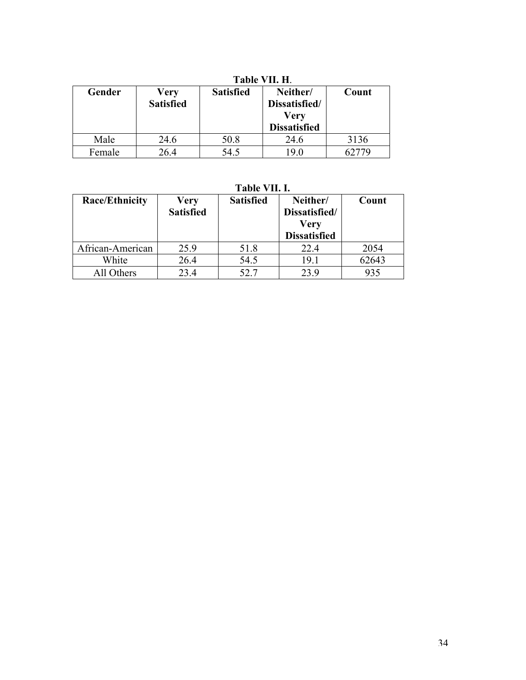|        |                          |                  | 10001V + 11.                                                    |       |
|--------|--------------------------|------------------|-----------------------------------------------------------------|-------|
| Gender | Very<br><b>Satisfied</b> | <b>Satisfied</b> | Neither/<br>Dissatisfied/<br><b>Very</b><br><b>Dissatisfied</b> | Count |
| Male   | 24.6                     | 50.8             | 24.6                                                            | 3136  |
| Female | 26.4                     | 54.5             | 90                                                              |       |

# **Table VII. H**.

## **Table VII. I.**

| Race/Ethnicity   | Very<br><b>Satisfied</b> | <b>Satisfied</b> | Neither/<br>Dissatisfied/<br><b>Very</b><br><b>Dissatisfied</b> | Count |
|------------------|--------------------------|------------------|-----------------------------------------------------------------|-------|
| African-American | 25.9                     | 51.8             | 22.4                                                            | 2054  |
| White            | 26.4                     | 54.5             | 19.1                                                            | 62643 |
| All Others       | 23.4                     | 52.7             | 23.9                                                            |       |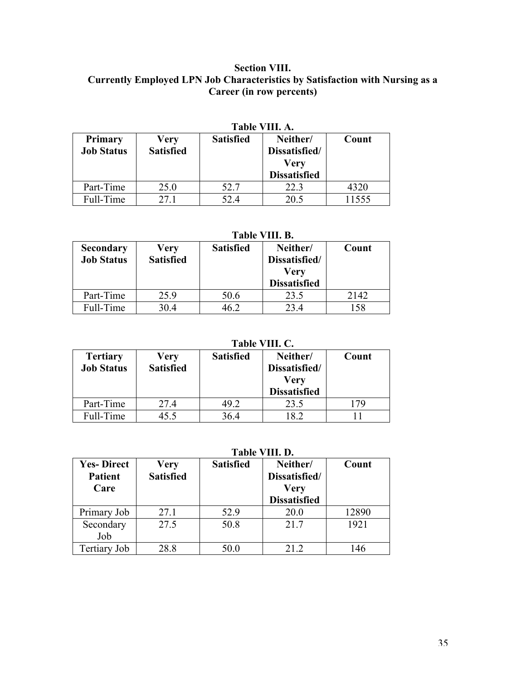### **Section VIII. Currently Employed LPN Job Characteristics by Satisfaction with Nursing as a Career (in row percents)**

|                                     | Table VIII. A.           |                  |                                                          |       |  |
|-------------------------------------|--------------------------|------------------|----------------------------------------------------------|-------|--|
| <b>Primary</b><br><b>Job Status</b> | Very<br><b>Satisfied</b> | <b>Satisfied</b> | Neither/<br>Dissatisfied/<br>Very<br><b>Dissatisfied</b> | Count |  |
| Part-Time                           | 25.0                     | 52.7             | 22.3                                                     | 4320  |  |
| Full-Time                           | 2.7 1                    | 524              | 20.5                                                     | 11555 |  |

### **Table VIII. B.**

| <b>Secondary</b><br><b>Job Status</b> | Very<br><b>Satisfied</b> | <b>Satisfied</b> | Neither/<br>Dissatisfied/<br>Very<br><b>Dissatisfied</b> | Count |
|---------------------------------------|--------------------------|------------------|----------------------------------------------------------|-------|
| Part-Time                             | 25.9                     | 50.6             | 23.5                                                     | 2142  |
| Full-Time                             | 30.4                     | I6 7             | 23.4                                                     |       |

#### **Table VIII. C.**

| <b>Tertiary</b><br><b>Job Status</b> | Very<br><b>Satisfied</b> | <b>Satisfied</b> | Neither/<br>Dissatisfied/<br><b>Very</b><br><b>Dissatisfied</b> | Count |
|--------------------------------------|--------------------------|------------------|-----------------------------------------------------------------|-------|
| Part-Time                            | 27.4                     | 49 2             | 23.5                                                            | 179   |
| Full-Time                            | 45.5                     | 36.4             | 18.2                                                            |       |

| <b>Table VIII. D.</b> |  |  |  |  |
|-----------------------|--|--|--|--|
|-----------------------|--|--|--|--|

| <b>Yes-Direct</b><br><b>Patient</b><br>Care | <b>Very</b><br><b>Satisfied</b> | <b>Satisfied</b> | Neither/<br>Dissatisfied/<br>Very<br><b>Dissatisfied</b> | Count |
|---------------------------------------------|---------------------------------|------------------|----------------------------------------------------------|-------|
| Primary Job                                 | 27.1                            | 52.9             | 20.0                                                     | 12890 |
| Secondary<br>Job                            | 27.5                            | 50.8             | 21.7                                                     | 1921  |
| Tertiary Job                                | 28.8                            | 50.0             | 21 2                                                     | 146   |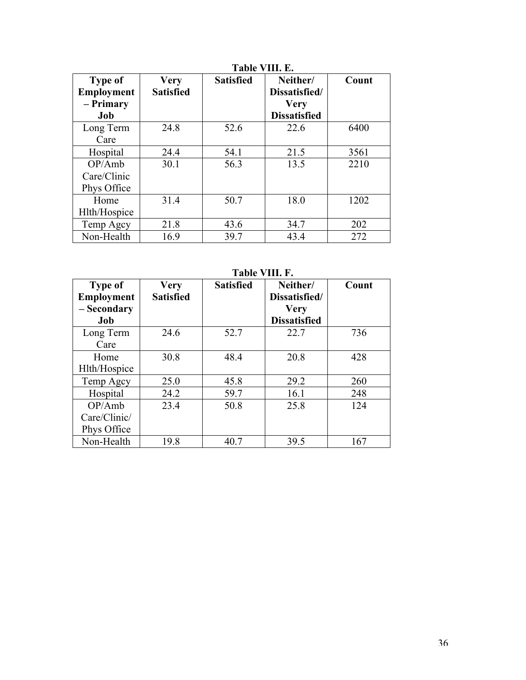| <b>Type of</b><br><b>Employment</b> | <b>Very</b><br><b>Satisfied</b> | <b>Satisfied</b> | Neither/<br>Dissatisfied/ | Count |
|-------------------------------------|---------------------------------|------------------|---------------------------|-------|
| - Primary                           |                                 |                  | <b>Very</b>               |       |
| Job                                 |                                 |                  | <b>Dissatisfied</b>       |       |
| Long Term                           | 24.8                            | 52.6             | 22.6                      | 6400  |
| Care                                |                                 |                  |                           |       |
| Hospital                            | 24.4                            | 54.1             | 21.5                      | 3561  |
| OP/Amb                              | 30.1                            | 56.3             | 13.5                      | 2210  |
| Care/Clinic                         |                                 |                  |                           |       |
| Phys Office                         |                                 |                  |                           |       |
| Home                                | 31.4                            | 50.7             | 18.0                      | 1202  |
| Hlth/Hospice                        |                                 |                  |                           |       |
| Temp Agcy                           | 21.8                            | 43.6             | 34.7                      | 202   |
| Non-Health                          | 16.9                            | 39.7             | 43.4                      | 272   |

**Table VIII. E.**

|                                     | таріе у пі. г.                  |                  |                           |       |  |
|-------------------------------------|---------------------------------|------------------|---------------------------|-------|--|
| <b>Type of</b><br><b>Employment</b> | <b>Very</b><br><b>Satisfied</b> | <b>Satisfied</b> | Neither/<br>Dissatisfied/ | Count |  |
| - Secondary                         |                                 |                  | <b>Very</b>               |       |  |
| Job                                 |                                 |                  | <b>Dissatisfied</b>       |       |  |
| Long Term                           | 24.6                            | 52.7             | 22.7                      | 736   |  |
| Care                                |                                 |                  |                           |       |  |
| Home                                | 30.8                            | 48.4             | 20.8                      | 428   |  |
| Hlth/Hospice                        |                                 |                  |                           |       |  |
| Temp Agcy                           | 25.0                            | 45.8             | 29.2                      | 260   |  |
| Hospital                            | 24.2                            | 59.7             | 16.1                      | 248   |  |
| OP/Amb                              | 23.4                            | 50.8             | 25.8                      | 124   |  |
| Care/Clinic/                        |                                 |                  |                           |       |  |
| Phys Office                         |                                 |                  |                           |       |  |
| Non-Health                          | 19.8                            | 40.7             | 39.5                      | 167   |  |

**Table VIII. F.**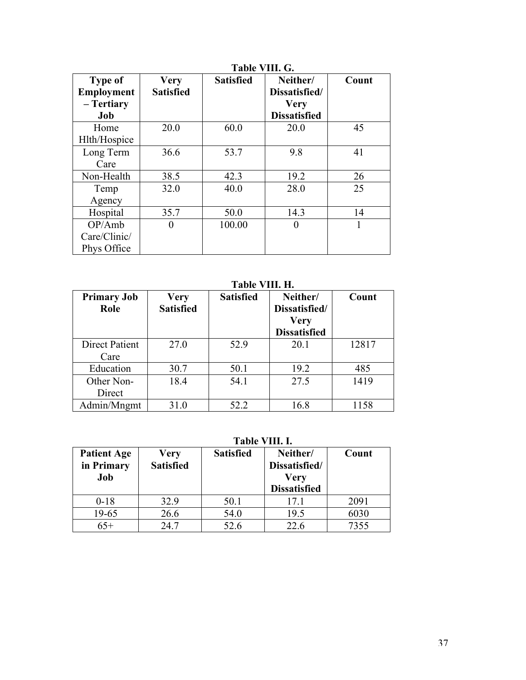|                                                          |                                 |                  | LAVIV V LLLI VI                                                 |       |
|----------------------------------------------------------|---------------------------------|------------------|-----------------------------------------------------------------|-------|
| <b>Type of</b><br><b>Employment</b><br>– Tertiary<br>Job | <b>Very</b><br><b>Satisfied</b> | <b>Satisfied</b> | Neither/<br>Dissatisfied/<br><b>Very</b><br><b>Dissatisfied</b> | Count |
| Home<br>Hlth/Hospice                                     | 20.0                            | 60.0             | 20.0                                                            | 45    |
| Long Term<br>Care                                        | 36.6                            | 53.7             | 9.8                                                             | 41    |
| Non-Health                                               | 38.5                            | 42.3             | 19.2                                                            | 26    |
| Temp<br>Agency                                           | 32.0                            | 40.0             | 28.0                                                            | 25    |
| Hospital                                                 | 35.7                            | 50.0             | 14.3                                                            | 14    |
| OP/Amb<br>Care/Clinic/<br>Phys Office                    | 0                               | 100.00           | 0                                                               |       |

**Table VIII. G.**

**Table VIII. H.**

| <b>Primary Job</b><br>Role | <b>Very</b><br><b>Satisfied</b> | <b>Satisfied</b> | Neither/<br>Dissatisfied/<br><b>Very</b><br><b>Dissatisfied</b> | Count |
|----------------------------|---------------------------------|------------------|-----------------------------------------------------------------|-------|
| Direct Patient<br>Care     | 27.0                            | 52.9             | 20.1                                                            | 12817 |
| Education                  | 30.7                            | 50.1             | 19.2                                                            | 485   |
| Other Non-<br>Direct       | 18.4                            | 54.1             | 27.5                                                            | 1419  |
| Admin/Mngmt                | 31.0                            | 52.2             | 16.8                                                            | 1158  |

# **Table VIII. I.**

| <b>Patient Age</b><br>in Primary<br>Job | Very<br><b>Satisfied</b> | <b>Satisfied</b> | Neither/<br>Dissatisfied/<br><b>Very</b> | Count |
|-----------------------------------------|--------------------------|------------------|------------------------------------------|-------|
|                                         |                          |                  | <b>Dissatisfied</b>                      |       |
| $0-18$                                  | 32.9                     | 50.1             | 17 1                                     | 2091  |
| 19-65                                   | 26.6                     | 54.0             | 19.5                                     | 6030  |
| $65+$                                   | 24.7                     | 52.6             | 22.6                                     | 7355  |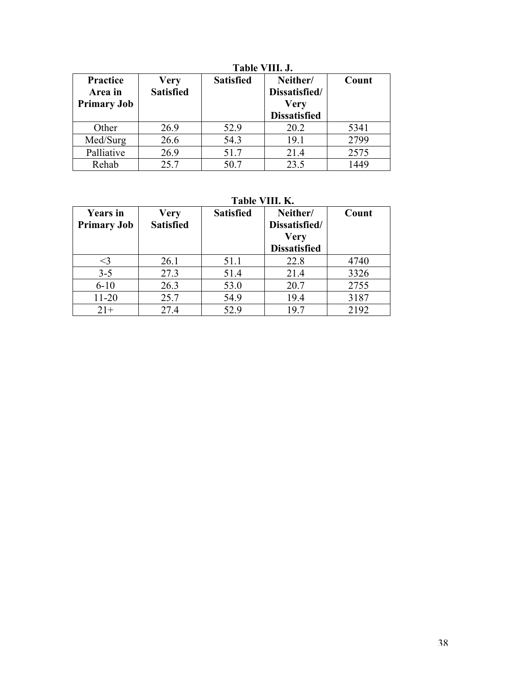| <b>Practice</b><br>Area in<br><b>Primary Job</b> | <b>Very</b><br><b>Satisfied</b> | <b>Satisfied</b> | Neither/<br>Dissatisfied/<br><b>Very</b><br><b>Dissatisfied</b> | Count |
|--------------------------------------------------|---------------------------------|------------------|-----------------------------------------------------------------|-------|
| Other                                            | 26.9                            | 52.9             | 20.2                                                            | 5341  |
| Med/Surg                                         | 26.6                            | 54.3             | 19.1                                                            | 2799  |
| Palliative                                       | 26.9                            | 51.7             | 21.4                                                            | 2575  |
| Rehab                                            | 25.7                            | 50.7             | 23.5                                                            | 1449  |

**Table VIII. J.**

## **Table VIII. K.**

| <b>Years</b> in<br><b>Primary Job</b> | <b>Very</b><br><b>Satisfied</b> | <b>Satisfied</b> | Neither/<br>Dissatisfied/<br><b>Very</b><br><b>Dissatisfied</b> | Count |
|---------------------------------------|---------------------------------|------------------|-----------------------------------------------------------------|-------|
| $\leq$ 3                              | 26.1                            | 51.1             | 22.8                                                            | 4740  |
| $3 - 5$                               | 27.3                            | 51.4             | 21.4                                                            | 3326  |
| $6 - 10$                              | 26.3                            | 53.0             | 20.7                                                            | 2755  |
| $11 - 20$                             | 25.7                            | 54.9             | 19.4                                                            | 3187  |
| $21+$                                 | 27.4                            | 52.9             | 19.7                                                            | 2192  |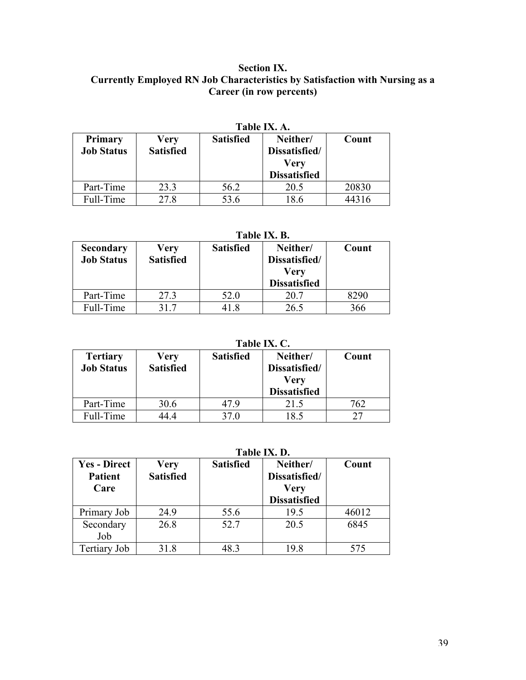### **Section IX. Currently Employed RN Job Characteristics by Satisfaction with Nursing as a Career (in row percents)**

|                                     | Table IX. A.             |                  |                                                          |       |
|-------------------------------------|--------------------------|------------------|----------------------------------------------------------|-------|
| <b>Primary</b><br><b>Job Status</b> | Very<br><b>Satisfied</b> | <b>Satisfied</b> | Neither/<br>Dissatisfied/<br>Very<br><b>Dissatisfied</b> | Count |
| Part-Time                           | 23.3                     | 56.2             | 20.5                                                     | 20830 |
| Full-Time                           | 27.8                     | 53.6             | 8.6                                                      | 44316 |

### **Table IX. B.**

| <b>Secondary</b><br><b>Job Status</b> | Very<br><b>Satisfied</b> | <b>Satisfied</b> | Neither/<br>Dissatisfied/<br>Very<br><b>Dissatisfied</b> | Count |
|---------------------------------------|--------------------------|------------------|----------------------------------------------------------|-------|
| Part-Time                             | 27.3                     | 52.0             | 20.7                                                     | 8290  |
| Full-Time                             |                          | 41 S             | 26.5                                                     | 366   |

#### **Table IX. C.**

| <b>Tertiary</b><br><b>Job Status</b> | Very<br><b>Satisfied</b> | <b>Satisfied</b> | Neither/<br>Dissatisfied/<br><b>Very</b><br><b>Dissatisfied</b> | Count |
|--------------------------------------|--------------------------|------------------|-----------------------------------------------------------------|-------|
| Part-Time                            | 30.6                     | 479              | 21.5                                                            | 762   |
| Full-Time                            | 14.4                     | 37 Q             | 18.5                                                            |       |

### **Table IX. D.**

| <b>Yes - Direct</b><br><b>Patient</b><br>Care | <b>Very</b><br><b>Satisfied</b> | <b>Satisfied</b> | Neither/<br>Dissatisfied/<br><b>Very</b><br><b>Dissatisfied</b> | Count |
|-----------------------------------------------|---------------------------------|------------------|-----------------------------------------------------------------|-------|
| Primary Job                                   | 24.9                            | 55.6             | 19.5                                                            | 46012 |
| Secondary<br>Job                              | 26.8                            | 52.7             | 20.5                                                            | 6845  |
| Tertiary Job                                  | 31.8                            | 48.3             | 19.8                                                            |       |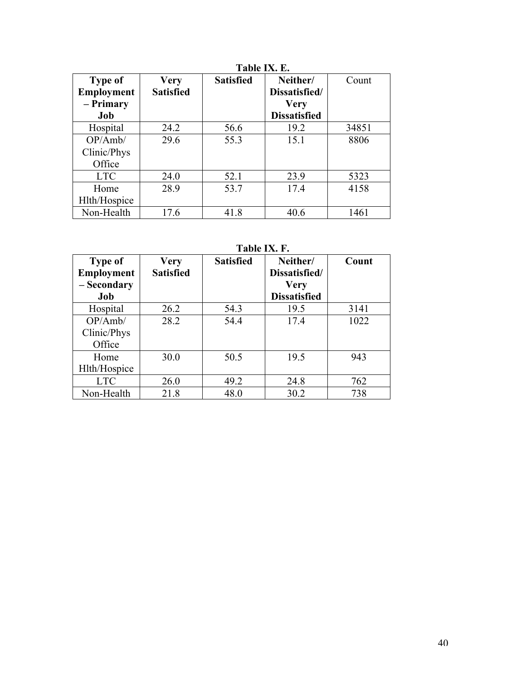| 1 AVIV 1710 170   |                  |                  |                     |       |
|-------------------|------------------|------------------|---------------------|-------|
| <b>Type of</b>    | <b>Very</b>      | <b>Satisfied</b> | Neither/            | Count |
| <b>Employment</b> | <b>Satisfied</b> |                  | Dissatisfied/       |       |
| - Primary         |                  |                  | <b>Very</b>         |       |
| Job               |                  |                  | <b>Dissatisfied</b> |       |
| Hospital          | 24.2             | 56.6             | 19.2                | 34851 |
| OP/Amb/           | 29.6             | 55.3             | 15.1                | 8806  |
| Clinic/Phys       |                  |                  |                     |       |
| Office            |                  |                  |                     |       |
| <b>LTC</b>        | 24.0             | 52.1             | 23.9                | 5323  |
| Home              | 28.9             | 53.7             | 17.4                | 4158  |
| Hlth/Hospice      |                  |                  |                     |       |
| Non-Health        | 17.6             | 41.8             | 40.6                | 1461  |

# **Table IX. E.**

### **Table IX. F.**

| <b>Type of</b>    | Very             | <b>Satisfied</b> | Neither/            | Count |
|-------------------|------------------|------------------|---------------------|-------|
| <b>Employment</b> | <b>Satisfied</b> |                  | Dissatisfied/       |       |
| - Secondary       |                  |                  | <b>Very</b>         |       |
| Job               |                  |                  | <b>Dissatisfied</b> |       |
| Hospital          | 26.2             | 54.3             | 19.5                | 3141  |
| OP/Amb/           | 28.2             | 54.4             | 17.4                | 1022  |
| Clinic/Phys       |                  |                  |                     |       |
| Office            |                  |                  |                     |       |
| Home              | 30.0             | 50.5             | 19.5                | 943   |
| Hlth/Hospice      |                  |                  |                     |       |
| <b>LTC</b>        | 26.0             | 49.2             | 24.8                | 762   |
| Non-Health        | 21.8             | 48.0             | 30.2                | 738   |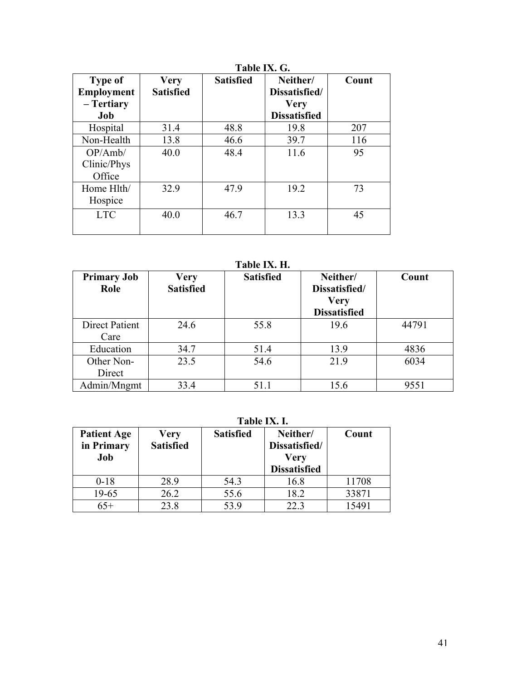|                   |                  |                  | 1 AVIV 1/V. V.      |       |
|-------------------|------------------|------------------|---------------------|-------|
| <b>Type of</b>    | <b>Very</b>      | <b>Satisfied</b> | Neither/            | Count |
| <b>Employment</b> | <b>Satisfied</b> |                  | Dissatisfied/       |       |
| – Tertiary        |                  |                  | <b>Very</b>         |       |
| Job               |                  |                  | <b>Dissatisfied</b> |       |
| Hospital          | 31.4             | 48.8             | 19.8                | 207   |
| Non-Health        | 13.8             | 46.6             | 39.7                | 116   |
| OP/Amb/           | 40.0             | 48.4             | 11.6                | 95    |
| Clinic/Phys       |                  |                  |                     |       |
| Office            |                  |                  |                     |       |
| Home Hlth/        | 32.9             | 47.9             | 19.2                | 73    |
| Hospice           |                  |                  |                     |       |
| <b>LTC</b>        | 40.0             | 46.7             | 13.3                | 45    |
|                   |                  |                  |                     |       |

**Table IX. G.**

**Table IX. H.**

| <b>Primary Job</b><br>Role | <b>Very</b><br><b>Satisfied</b> | <b>Satisfied</b> | Neither/<br>Dissatisfied/<br><b>Very</b><br><b>Dissatisfied</b> | Count |
|----------------------------|---------------------------------|------------------|-----------------------------------------------------------------|-------|
| Direct Patient<br>Care     | 24.6                            | 55.8             | 19.6                                                            | 44791 |
| Education                  | 34.7                            | 51.4             | 13.9                                                            | 4836  |
| Other Non-<br>Direct       | 23.5                            | 54.6             | 21.9                                                            | 6034  |
| Admin/Mngmt                | 33.4                            | 51.1             | 15.6                                                            | 9551  |

**Table IX. I.**

| <b>Patient Age</b><br>in Primary<br>Job | Very<br><b>Satisfied</b> | <b>Satisfied</b> | Neither/<br>Dissatisfied/<br><b>Very</b><br><b>Dissatisfied</b> | Count |
|-----------------------------------------|--------------------------|------------------|-----------------------------------------------------------------|-------|
| $0-18$                                  | 28.9                     | 54.3             | 16.8                                                            | 11708 |
| 19-65                                   | 26.2                     | 55.6             | 18.2                                                            | 33871 |
| 65+                                     | 23.8                     | 53.9             | 22.3                                                            | 15491 |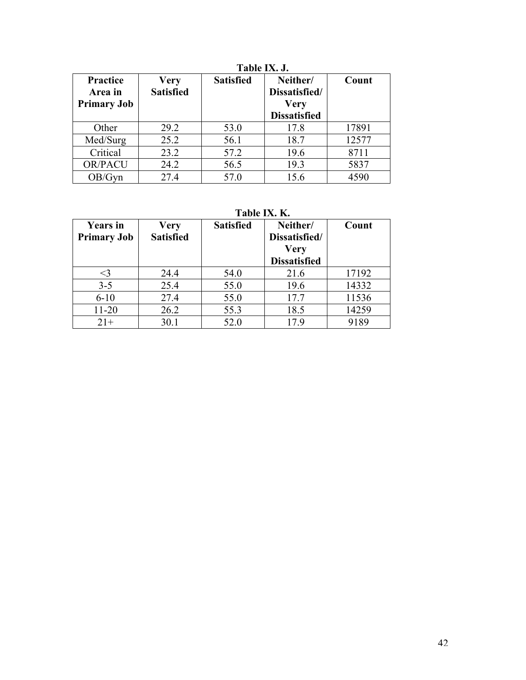| Practice<br>Area in<br><b>Primary Job</b> | <b>Very</b><br><b>Satisfied</b> | <b>Satisfied</b> | Neither/<br>Dissatisfied/<br><b>Very</b><br><b>Dissatisfied</b> | Count |  |
|-------------------------------------------|---------------------------------|------------------|-----------------------------------------------------------------|-------|--|
| Other                                     | 29.2                            | 53.0             | 17.8                                                            | 17891 |  |
| Med/Surg                                  | 25.2                            | 56.1             | 18.7                                                            | 12577 |  |
| Critical                                  | 23.2                            | 57.2             | 19.6                                                            | 8711  |  |
| <b>OR/PACU</b>                            | 24.2                            | 56.5             | 19.3                                                            | 5837  |  |
| OB/Gvn                                    | 27.4                            | 57.0             | 15.6                                                            | 4590  |  |

**Table IX. J.**

### **Table IX. K.**

| <b>Years</b> in<br><b>Primary Job</b> | <b>Very</b><br><b>Satisfied</b> | <b>Satisfied</b> | Neither/<br>Dissatisfied/<br><b>Very</b><br><b>Dissatisfied</b> | Count |
|---------------------------------------|---------------------------------|------------------|-----------------------------------------------------------------|-------|
| $\leq$ 3                              | 24.4                            | 54.0             | 21.6                                                            | 17192 |
| $3 - 5$                               | 25.4                            | 55.0             | 19.6                                                            | 14332 |
| $6 - 10$                              | 27.4                            | 55.0             | 17.7                                                            | 11536 |
| $11 - 20$                             | 26.2                            | 55.3             | 18.5                                                            | 14259 |
| $21+$                                 | 30.1                            | 52.0             | 17.9                                                            | 9189  |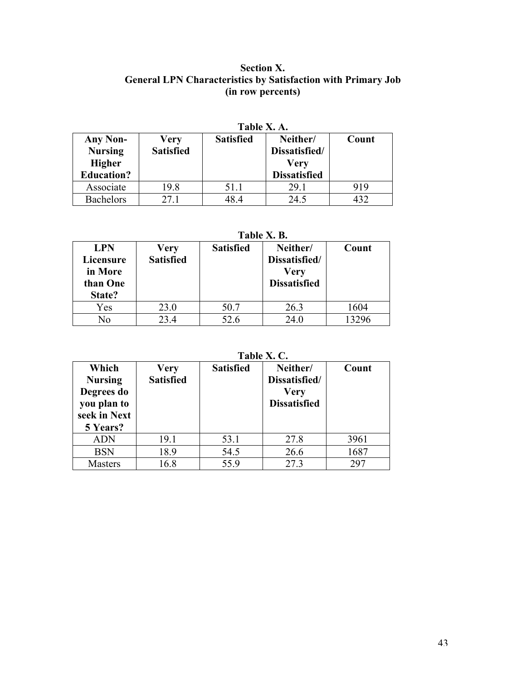### **Section X. General LPN Characteristics by Satisfaction with Primary Job (in row percents)**

|                                                                         | Table X. A.                     |                  |                                                                 |       |
|-------------------------------------------------------------------------|---------------------------------|------------------|-----------------------------------------------------------------|-------|
| <b>Any Non-</b><br><b>Nursing</b><br><b>Higher</b><br><b>Education?</b> | <b>Very</b><br><b>Satisfied</b> | <b>Satisfied</b> | Neither/<br>Dissatisfied/<br><b>Very</b><br><b>Dissatisfied</b> | Count |
|                                                                         |                                 |                  |                                                                 |       |
| Associate                                                               | 19.8                            | 51.1             | 29.1                                                            | 919   |
| <b>Bachelors</b>                                                        | 27 1                            | 48 4             | 24.5                                                            | 432   |

### **Table X. B.**

| <b>LPN</b><br>Licensure<br>in More<br>than One<br>State? | Very<br><b>Satisfied</b> | <b>Satisfied</b> | Neither/<br>Dissatisfied/<br>Very<br><b>Dissatisfied</b> | Count |
|----------------------------------------------------------|--------------------------|------------------|----------------------------------------------------------|-------|
| Yes                                                      | 23.0                     | 50.7             | 26.3                                                     | 1604  |
| No                                                       | 234                      | 52.6             | 24.0                                                     | 13296 |

### **Table X. C.**

| Which<br><b>Nursing</b><br>Degrees do<br>you plan to<br>seek in Next<br>5 Years? | <b>Very</b><br><b>Satisfied</b> | <b>Satisfied</b> | Neither/<br>Dissatisfied/<br><b>Very</b><br><b>Dissatisfied</b> | Count |
|----------------------------------------------------------------------------------|---------------------------------|------------------|-----------------------------------------------------------------|-------|
| <b>ADN</b>                                                                       | 19.1                            | 53.1             | 27.8                                                            | 3961  |
| <b>BSN</b>                                                                       | 18.9                            | 54.5             | 26.6                                                            | 1687  |
| <b>Masters</b>                                                                   | 16.8                            | 55.9             | 27.3                                                            | 297   |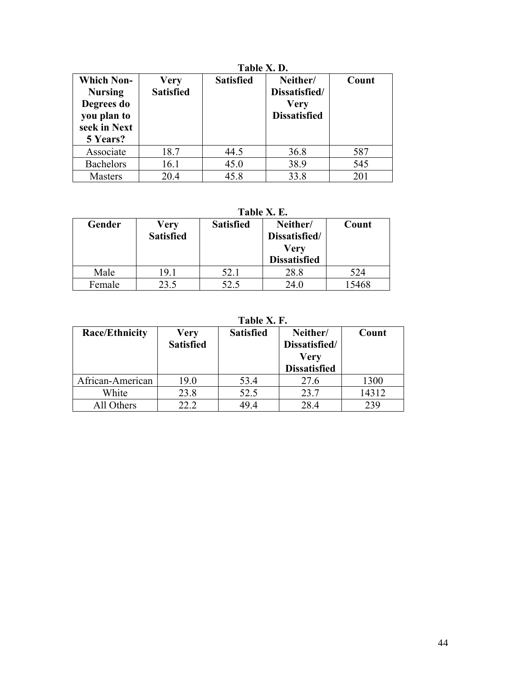|                                                                                              |                          | TADIE A. D.      |                                                                 |       |
|----------------------------------------------------------------------------------------------|--------------------------|------------------|-----------------------------------------------------------------|-------|
| <b>Which Non-</b><br><b>Nursing</b><br>Degrees do<br>you plan to<br>seek in Next<br>5 Years? | Very<br><b>Satisfied</b> | <b>Satisfied</b> | Neither/<br>Dissatisfied/<br><b>Very</b><br><b>Dissatisfied</b> | Count |
| Associate                                                                                    | 18.7                     | 44.5             | 36.8                                                            | 587   |
| <b>Bachelors</b>                                                                             | 16.1                     | 45.0             | 38.9                                                            | 545   |
| <b>Masters</b>                                                                               | 20.4                     | 45.8             | 33.8                                                            | 201   |

**Table X. D.**

**Table X. E.**

| Gender | Very<br><b>Satisfied</b> | <b>Satisfied</b> | Neither/<br>Dissatisfied/<br>Very<br><b>Dissatisfied</b> | Count |
|--------|--------------------------|------------------|----------------------------------------------------------|-------|
| Male   | 19.1                     | 52.1             | 28.8                                                     | 524   |
| Female | 23.5                     | 52.5             | 24.0                                                     | 5468  |

**Table X. F.**

| <b>Race/Ethnicity</b> | Very<br><b>Satisfied</b> | <b>Satisfied</b> | Neither/<br>Dissatisfied/<br>Very | Count |
|-----------------------|--------------------------|------------------|-----------------------------------|-------|
|                       |                          |                  | <b>Dissatisfied</b>               |       |
| African-American      | 19.0                     | 53.4             | 27.6                              | 1300  |
| White                 | 23.8                     | 52.5             | 23.7                              | 14312 |
| All Others            | 22.2                     | 49 4             | 28.4                              | 239   |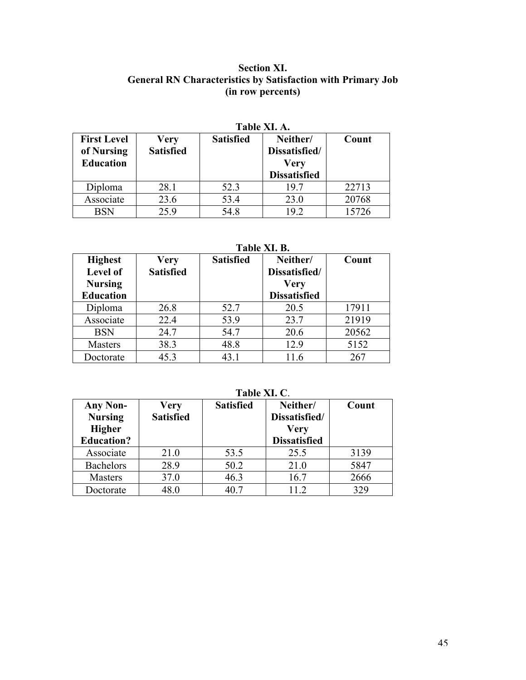## **Section XI. General RN Characteristics by Satisfaction with Primary Job (in row percents)**

|                                                      | Table XI. A.             |                  |                                                                 |       |  |
|------------------------------------------------------|--------------------------|------------------|-----------------------------------------------------------------|-------|--|
| <b>First Level</b><br>of Nursing<br><b>Education</b> | Very<br><b>Satisfied</b> | <b>Satisfied</b> | Neither/<br>Dissatisfied/<br><b>Very</b><br><b>Dissatisfied</b> | Count |  |
| Diploma                                              | 28.1                     | 52.3             | 19.7                                                            | 22713 |  |
| Associate                                            | 23.6                     | 53.4             | 23.0                                                            | 20768 |  |
| <b>BSN</b>                                           | 25.9                     | 54.8             | 19.2                                                            | 15726 |  |

### **Table XI. B.**

| <b>Highest</b><br>Level of<br><b>Nursing</b><br><b>Education</b> | <b>Very</b><br><b>Satisfied</b> | <b>Satisfied</b> | Neither/<br>Dissatisfied/<br><b>Very</b><br><b>Dissatisfied</b> | Count |
|------------------------------------------------------------------|---------------------------------|------------------|-----------------------------------------------------------------|-------|
| Diploma                                                          | 26.8                            | 52.7             | 20.5                                                            | 17911 |
| Associate                                                        | 22.4                            | 53.9             | 23.7                                                            | 21919 |
| <b>BSN</b>                                                       | 24.7                            | 54.7             | 20.6                                                            | 20562 |
| <b>Masters</b>                                                   | 38.3                            | 48.8             | 12.9                                                            | 5152  |
| Doctorate                                                        | 45.3                            | 43.1             | 11.6                                                            | 267   |

**Table XI. C**.

| <b>Any Non-</b><br><b>Nursing</b><br><b>Higher</b><br><b>Education?</b> | Very<br><b>Satisfied</b> | <b>Satisfied</b> | Neither/<br>Dissatisfied/<br><b>Very</b><br><b>Dissatisfied</b> | Count |
|-------------------------------------------------------------------------|--------------------------|------------------|-----------------------------------------------------------------|-------|
| Associate                                                               | 21.0                     | 53.5             | 25.5                                                            | 3139  |
| <b>Bachelors</b>                                                        | 28.9                     | 50.2             | 21.0                                                            | 5847  |
| <b>Masters</b>                                                          | 37.0                     | 46.3             | 16.7                                                            | 2666  |
| Doctorate                                                               | 48.0                     | 40 7             | 112                                                             | 329   |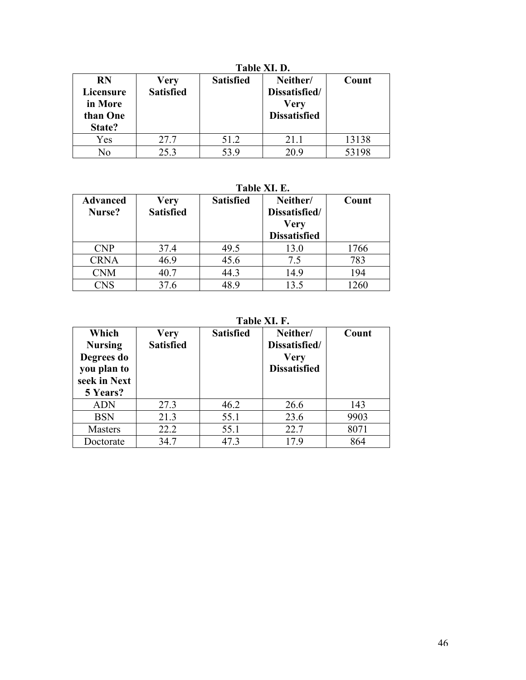| <b>RN</b><br>Licensure<br>in More<br>than One<br>State? | <b>Very</b><br><b>Satisfied</b> | <b>Satisfied</b> | Neither/<br>Dissatisfied/<br><b>Very</b><br><b>Dissatisfied</b> | Count |
|---------------------------------------------------------|---------------------------------|------------------|-----------------------------------------------------------------|-------|
| Yes                                                     | 27.7                            | 51.2             | 21.1                                                            | 13138 |
| N٥                                                      | 253                             | 53.9             | 20 9                                                            | 53198 |

**Table XI. D.**

# **Table XI. E.**

| <b>Advanced</b><br>Nurse? | <b>Very</b><br><b>Satisfied</b> | <b>Satisfied</b> | Neither/<br>Dissatisfied/<br><b>Very</b><br><b>Dissatisfied</b> | Count |
|---------------------------|---------------------------------|------------------|-----------------------------------------------------------------|-------|
| <b>CNP</b>                | 37.4                            | 49.5             | 13.0                                                            | 1766  |
| <b>CRNA</b>               | 46.9                            | 45.6             | 7.5                                                             | 783   |
| CNM                       | 40.7                            | 44.3             | 14.9                                                            | 194   |
| CNS                       | 37.6                            | 48 9             | 13.5                                                            | 1260  |

#### **Table XI. F.**

| Which<br><b>Nursing</b><br>Degrees do<br>you plan to<br>seek in Next<br>5 Years? | <b>Very</b><br><b>Satisfied</b> | <b>Satisfied</b> | Neither/<br>Dissatisfied/<br><b>Very</b><br><b>Dissatisfied</b> | Count |
|----------------------------------------------------------------------------------|---------------------------------|------------------|-----------------------------------------------------------------|-------|
| <b>ADN</b>                                                                       | 27.3                            | 46.2             | 26.6                                                            | 143   |
| <b>BSN</b>                                                                       | 21.3                            | 55.1             | 23.6                                                            | 9903  |
| <b>Masters</b>                                                                   | 22.2                            | 55.1             | 22.7                                                            | 8071  |
| Doctorate                                                                        | 34.7                            | 47.3             | 179                                                             | 864   |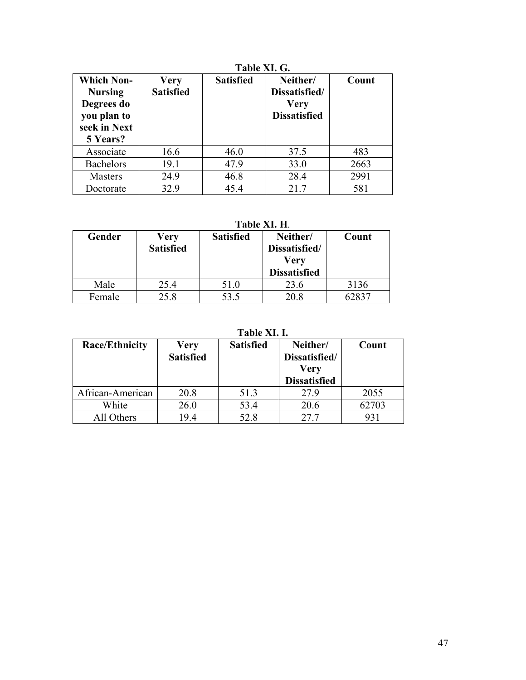|                                                                                              |                                 |                  | 1 avie Al. V.                                                   |       |
|----------------------------------------------------------------------------------------------|---------------------------------|------------------|-----------------------------------------------------------------|-------|
| <b>Which Non-</b><br><b>Nursing</b><br>Degrees do<br>you plan to<br>seek in Next<br>5 Years? | <b>Very</b><br><b>Satisfied</b> | <b>Satisfied</b> | Neither/<br>Dissatisfied/<br><b>Very</b><br><b>Dissatisfied</b> | Count |
| Associate                                                                                    | 16.6                            | 46.0             | 37.5                                                            | 483   |
| <b>Bachelors</b>                                                                             | 19.1                            | 47.9             | 33.0                                                            | 2663  |
| <b>Masters</b>                                                                               | 24.9                            | 46.8             | 28.4                                                            | 2991  |
| Doctorate                                                                                    | 32.9                            | 45.4             | 21.7                                                            | 581   |

# **Table XI. G.**

## **Table XI. H**.

| Gender | Very<br><b>Satisfied</b> | <b>Satisfied</b> | Neither/<br>Dissatisfied/<br>Very<br><b>Dissatisfied</b> | Count |
|--------|--------------------------|------------------|----------------------------------------------------------|-------|
| Male   | 25.4                     | 51.0             | 23.6                                                     | 3136  |
| Female | 25.8                     | 53.5             | 20.8                                                     |       |

## **Table XI. I.**

| <b>Race/Ethnicity</b> | Very<br><b>Satisfied</b> | <b>Satisfied</b> | Neither/<br>Dissatisfied/<br><b>Very</b><br><b>Dissatisfied</b> | Count |
|-----------------------|--------------------------|------------------|-----------------------------------------------------------------|-------|
| African-American      | 20.8                     | 51.3             | 27.9                                                            | 2055  |
| White                 | 26.0                     | 53.4             | 20.6                                                            | 62703 |
| All Others            | 94                       | 52.8             | 27.7                                                            |       |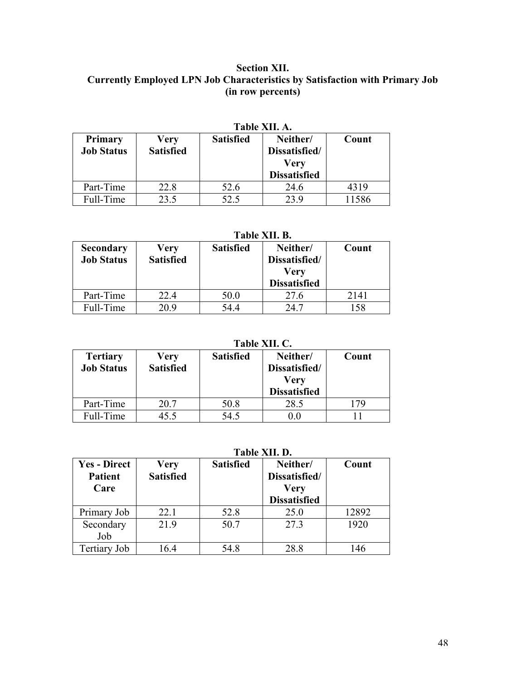### **Section XII. Currently Employed LPN Job Characteristics by Satisfaction with Primary Job (in row percents)**

|                                     | Table XII. A.            |                  |                                                          |       |
|-------------------------------------|--------------------------|------------------|----------------------------------------------------------|-------|
| <b>Primary</b><br><b>Job Status</b> | Very<br><b>Satisfied</b> | <b>Satisfied</b> | Neither/<br>Dissatisfied/<br>Very<br><b>Dissatisfied</b> | Count |
| Part-Time                           | 22.8                     | 52.6             | 24.6                                                     | 4319  |
| Full-Time                           | 23.5                     | 52.5             | 23.9                                                     | 11586 |

#### **Table XII. B.**

| <b>Secondary</b><br><b>Job Status</b> | Very<br><b>Satisfied</b> | <b>Satisfied</b> | Neither/<br>Dissatisfied/<br>Very<br><b>Dissatisfied</b> | Count |
|---------------------------------------|--------------------------|------------------|----------------------------------------------------------|-------|
| Part-Time                             | 22.4                     | 50.0             | 27.6                                                     | 2141  |
| Full-Time                             | 20.9                     | 54 4             | 24 7                                                     | 158   |

#### **Table XII. C.**

| <b>Tertiary</b><br><b>Job Status</b> | <b>Very</b><br><b>Satisfied</b> | <b>Satisfied</b> | Neither/<br>Dissatisfied/<br><b>Very</b><br><b>Dissatisfied</b> | Count |
|--------------------------------------|---------------------------------|------------------|-----------------------------------------------------------------|-------|
| Part-Time                            | 20.7                            | 50.8             | 28.5                                                            | 179   |
| Full-Time                            | 45 5                            | 54.5             |                                                                 |       |

### **Table XII. D.**

| <b>Yes - Direct</b><br><b>Patient</b><br>Care | <b>Very</b><br><b>Satisfied</b> | <b>Satisfied</b> | Neither/<br>Dissatisfied/<br>Very<br><b>Dissatisfied</b> | Count |
|-----------------------------------------------|---------------------------------|------------------|----------------------------------------------------------|-------|
| Primary Job                                   | 22.1                            | 52.8             | 25.0                                                     | 12892 |
| Secondary<br>Job                              | 21.9                            | 50.7             | 27.3                                                     | 1920  |
| Tertiary Job                                  | 16.4                            | 54.8             | 28.8                                                     | 146   |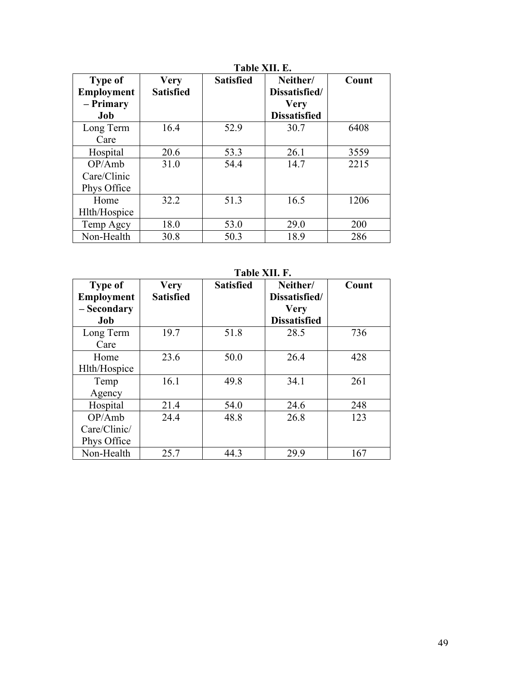| TUNIA ITTI TI                       |                                 |                  |                           |       |
|-------------------------------------|---------------------------------|------------------|---------------------------|-------|
| <b>Type of</b><br><b>Employment</b> | <b>Very</b><br><b>Satisfied</b> | <b>Satisfied</b> | Neither/<br>Dissatisfied/ | Count |
| - Primary                           |                                 |                  | <b>Very</b>               |       |
| Job                                 |                                 |                  | <b>Dissatisfied</b>       |       |
| Long Term                           | 16.4                            | 52.9             | 30.7                      | 6408  |
| Care                                |                                 |                  |                           |       |
| Hospital                            | 20.6                            | 53.3             | 26.1                      | 3559  |
| OP/Amb                              | 31.0                            | 54.4             | 14.7                      | 2215  |
| Care/Clinic                         |                                 |                  |                           |       |
| Phys Office                         |                                 |                  |                           |       |
| Home                                | 32.2                            | 51.3             | 16.5                      | 1206  |
| Hlth/Hospice                        |                                 |                  |                           |       |
| Temp Agcy                           | 18.0                            | 53.0             | 29.0                      | 200   |
| Non-Health                          | 30.8                            | 50.3             | 18.9                      | 286   |

**Table XII. F. Type of Employment – Secondary Job Very Satisfied Satisfied Neither/ Dissatisfied/ Very Dissatisfied Count** Long Term Care 19.7 51.8 28.5 736 Home Hlth/Hospice 23.6 50.0 26.4 428 Temp Agency 16.1 49.8 34.1 261 11 121.4 54.0 24.6 248<br>
123 123 24.4 48.8 26.8 123 OP/Amb Care/Clinic/ Phys Office  $26.8$ Non-Health 25.7 44.3 29.9 167

| <b>Table XII. E.</b> |
|----------------------|
|                      |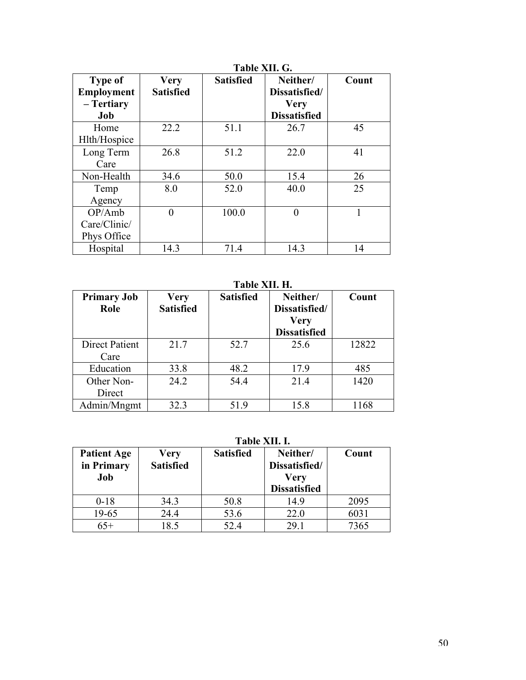|                                                          |                                 | 1 aviv Allı VI   |                                                                 |       |
|----------------------------------------------------------|---------------------------------|------------------|-----------------------------------------------------------------|-------|
| <b>Type of</b><br><b>Employment</b><br>– Tertiary<br>Job | <b>Very</b><br><b>Satisfied</b> | <b>Satisfied</b> | Neither/<br>Dissatisfied/<br><b>Very</b><br><b>Dissatisfied</b> | Count |
| Home<br>Hlth/Hospice                                     | 22.2                            | 51.1             | 26.7                                                            | 45    |
| Long Term<br>Care                                        | 26.8                            | 51.2             | 22.0                                                            | 41    |
| Non-Health                                               | 34.6                            | 50.0             | 15.4                                                            | 26    |
| Temp<br>Agency                                           | 8.0                             | 52.0             | 40.0                                                            | 25    |
| OP/Amb<br>Care/Clinic/<br>Phys Office                    | 0                               | 100.0            | 0                                                               |       |
| Hospital                                                 | 14.3                            | 71.4             | 14.3                                                            | 14    |

**Table XII. G.**

**Table XII. H.**

| <b>Primary Job</b><br>Role    | <b>Very</b><br><b>Satisfied</b> | <b>Satisfied</b> | Neither/<br>Dissatisfied/<br><b>Very</b><br><b>Dissatisfied</b> | Count |
|-------------------------------|---------------------------------|------------------|-----------------------------------------------------------------|-------|
| <b>Direct Patient</b><br>Care | 21.7                            | 52.7             | 25.6                                                            | 12822 |
| Education                     | 33.8                            | 48.2             | 17.9                                                            | 485   |
| Other Non-<br>Direct          | 24.2                            | 54.4             | 21.4                                                            | 1420  |
| Admin/Mngmt                   | 32.3                            | 51.9             | 15.8                                                            | 1168  |

# **Table XII. I.**

| <b>Patient Age</b><br>in Primary<br>Job | Very<br><b>Satisfied</b> | <b>Satisfied</b> | Neither/<br>Dissatisfied/<br><b>Very</b> | Count |
|-----------------------------------------|--------------------------|------------------|------------------------------------------|-------|
|                                         |                          |                  | <b>Dissatisfied</b>                      |       |
| $0-18$                                  | 34.3                     | 50.8             | 149                                      | 2095  |
| 19-65                                   | 24.4                     | 53.6             | 22.0                                     | 6031  |
| $65+$                                   | 18.5                     | 52.4             | 29.1                                     | 7365  |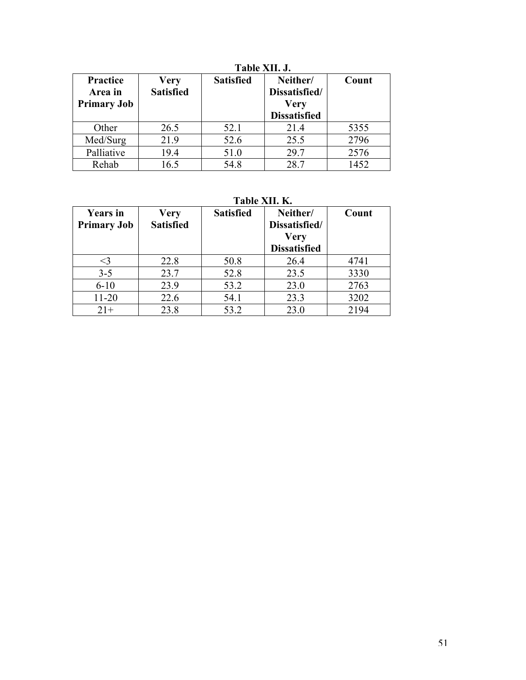| <b>Practice</b><br>Area in<br><b>Primary Job</b> | <b>Very</b><br><b>Satisfied</b> | <b>Satisfied</b> | Neither/<br>Dissatisfied/<br><b>Very</b><br><b>Dissatisfied</b> | Count |
|--------------------------------------------------|---------------------------------|------------------|-----------------------------------------------------------------|-------|
| Other                                            | 26.5                            | 52.1             | 21.4                                                            | 5355  |
| Med/Surg                                         | 21.9                            | 52.6             | 25.5                                                            | 2796  |
| Palliative                                       | 19.4                            | 51.0             | 29.7                                                            | 2576  |
| Rehab                                            | 16.5                            | 54.8             | 28.7                                                            | 1452  |

**Table XII. J.**

## **Table XII. K.**

| <b>Years</b> in<br><b>Primary Job</b> | <b>Very</b><br><b>Satisfied</b> | <b>Satisfied</b> | Neither/<br>Dissatisfied/<br><b>Very</b><br><b>Dissatisfied</b> | Count |
|---------------------------------------|---------------------------------|------------------|-----------------------------------------------------------------|-------|
| $\leq$ 3                              | 22.8                            | 50.8             | 26.4                                                            | 4741  |
| $3 - 5$                               | 23.7                            | 52.8             | 23.5                                                            | 3330  |
| $6 - 10$                              | 23.9                            | 53.2             | 23.0                                                            | 2763  |
| $11 - 20$                             | 22.6                            | 54.1             | 23.3                                                            | 3202  |
| $21+$                                 | 23.8                            | 53.2             | 23.0                                                            | 2194  |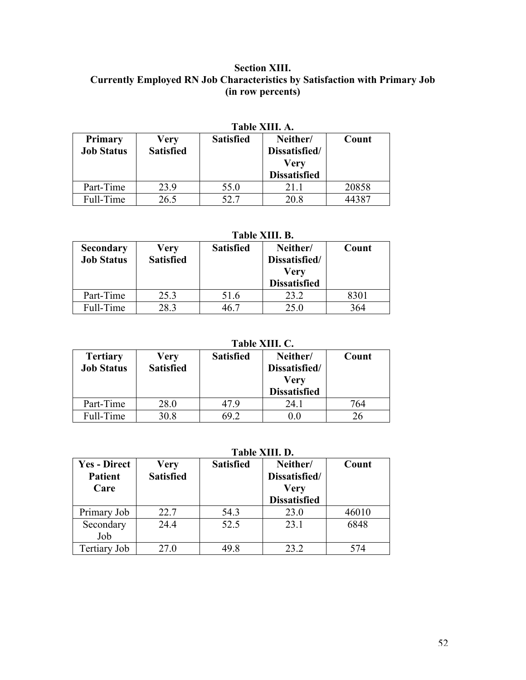### **Section XIII. Currently Employed RN Job Characteristics by Satisfaction with Primary Job (in row percents)**

|                                     | Table XIII. A.                  |                  |                                                          |       |
|-------------------------------------|---------------------------------|------------------|----------------------------------------------------------|-------|
| <b>Primary</b><br><b>Job Status</b> | <b>Very</b><br><b>Satisfied</b> | <b>Satisfied</b> | Neither/<br>Dissatisfied/<br>Very<br><b>Dissatisfied</b> | Count |
| Part-Time                           | 23.9                            | 55.0             | 21.1                                                     | 20858 |
| Full-Time                           | 26.5                            | 52 7             | 20.8                                                     |       |

### **Table XIII. B.**

| <b>Secondary</b><br><b>Job Status</b> | Very<br><b>Satisfied</b> | <b>Satisfied</b> | Neither/<br>Dissatisfied/<br><b>Very</b><br><b>Dissatisfied</b> | Count |
|---------------------------------------|--------------------------|------------------|-----------------------------------------------------------------|-------|
| Part-Time                             | 25.3                     | 51.6             | 23.2                                                            | 8301  |
| Full-Time                             | 28.3                     |                  | 25.0                                                            | 364   |

#### **Table XIII. C.**

| <b>Tertiary</b><br><b>Job Status</b> | Very<br><b>Satisfied</b> | <b>Satisfied</b> | Neither/<br>Dissatisfied/<br><b>Very</b><br><b>Dissatisfied</b> | Count |
|--------------------------------------|--------------------------|------------------|-----------------------------------------------------------------|-------|
| Part-Time                            | 28.0                     | 479              | 24.1                                                            | 764   |
| Full-Time                            | 30.8                     | 69 Z             | () ()                                                           |       |

### **Table XIII. D.**

| <b>Yes - Direct</b><br><b>Patient</b><br>Care | <b>Very</b><br><b>Satisfied</b> | <b>Satisfied</b> | Neither/<br>Dissatisfied/<br><b>Very</b><br><b>Dissatisfied</b> | Count |
|-----------------------------------------------|---------------------------------|------------------|-----------------------------------------------------------------|-------|
| Primary Job                                   | 22.7                            | 54.3             | 23.0                                                            | 46010 |
| Secondary<br>Job                              | 24.4                            | 52.5             | 23.1                                                            | 6848  |
| Tertiary Job                                  | 27.0                            | 49 R             | 23.2                                                            |       |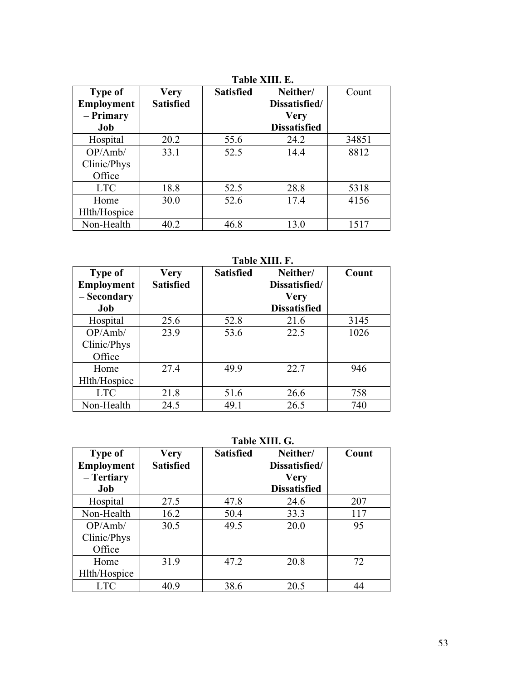| <b>Type of</b>    | <b>Very</b>      | <b>Satisfied</b> | Neither/            | Count |
|-------------------|------------------|------------------|---------------------|-------|
| <b>Employment</b> | <b>Satisfied</b> |                  | Dissatisfied/       |       |
| – Primary         |                  |                  | <b>Very</b>         |       |
| Job               |                  |                  | <b>Dissatisfied</b> |       |
| Hospital          | 20.2             | 55.6             | 24.2                | 34851 |
| OP/Amb/           | 33.1             | 52.5             | 14.4                | 8812  |
| Clinic/Phys       |                  |                  |                     |       |
| Office            |                  |                  |                     |       |
| <b>LTC</b>        | 18.8             | 52.5             | 28.8                | 5318  |
| Home              | 30.0             | 52.6             | 17.4                | 4156  |
| Hlth/Hospice      |                  |                  |                     |       |
| Non-Health        | 40.2             | 46.8             | 13.0                | 1517  |

**Table XIII. E.**

|                                     | Table XIII. F.                  |                  |                                    |       |
|-------------------------------------|---------------------------------|------------------|------------------------------------|-------|
| <b>Type of</b><br><b>Employment</b> | <b>Very</b><br><b>Satisfied</b> | <b>Satisfied</b> | Neither/<br>Dissatisfied/          | Count |
| - Secondary<br>Job                  |                                 |                  | <b>Very</b><br><b>Dissatisfied</b> |       |
| Hospital                            | 25.6                            | 52.8             | 21.6                               | 3145  |
| OP/Amb/                             | 23.9                            | 53.6             | 22.5                               | 1026  |
| Clinic/Phys                         |                                 |                  |                                    |       |
| Office                              |                                 |                  |                                    |       |
| Home                                | 27.4                            | 49.9             | 22.7                               | 946   |
| Hlth/Hospice                        |                                 |                  |                                    |       |
| <b>LTC</b>                          | 21.8                            | 51.6             | 26.6                               | 758   |
| Non-Health                          | 24.5                            | 49.1             | 26.5                               | 740   |

# **Table XIII. F.**

### **Table XIII. G.**

| <b>Type of</b>    | <b>Very</b>      | <b>Satisfied</b> | Neither/            | Count |
|-------------------|------------------|------------------|---------------------|-------|
| <b>Employment</b> | <b>Satisfied</b> |                  | Dissatisfied/       |       |
| – Tertiary        |                  |                  | <b>Very</b>         |       |
| Job               |                  |                  | <b>Dissatisfied</b> |       |
| Hospital          | 27.5             | 47.8             | 24.6                | 207   |
| Non-Health        | 16.2             | 50.4             | 33.3                | 117   |
| OP/Amb/           | 30.5             | 49.5             | 20.0                | 95    |
| Clinic/Phys       |                  |                  |                     |       |
| Office            |                  |                  |                     |       |
| Home              | 319              | 47 2             | 20.8                | 72    |
| Hlth/Hospice      |                  |                  |                     |       |
| <b>LTC</b>        | 40 9             | 38.6             | 20.5                |       |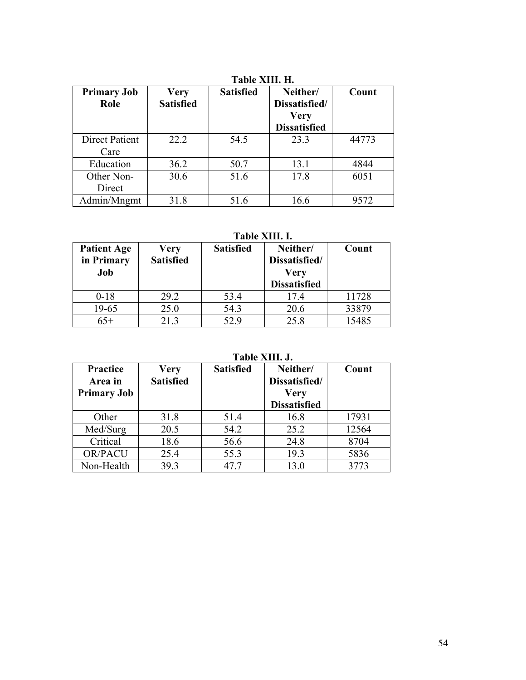| <b>Primary Job</b><br>Role | <b>Very</b><br><b>Satisfied</b> | <b>Satisfied</b> | Neither/<br>Dissatisfied/<br><b>Very</b><br><b>Dissatisfied</b> | Count |
|----------------------------|---------------------------------|------------------|-----------------------------------------------------------------|-------|
| Direct Patient<br>Care     | 22.2                            | 54.5             | 23.3                                                            | 44773 |
| Education                  | 36.2                            | 50.7             | 13.1                                                            | 4844  |
| Other Non-<br>Direct       | 30.6                            | 51.6             | 17.8                                                            | 6051  |
| Admin/Mngmt                | 31.8                            | 51.6             | 16.6                                                            | 9572  |

# **Table XIII. H.**

# **Table XIII. I.**

| <b>Patient Age</b><br>in Primary<br>Job | Very<br><b>Satisfied</b> | <b>Satisfied</b> | Neither/<br>Dissatisfied/<br><b>Very</b><br><b>Dissatisfied</b> | Count |
|-----------------------------------------|--------------------------|------------------|-----------------------------------------------------------------|-------|
| $0-18$                                  | 29.2                     | 53.4             | 17.4                                                            | 11728 |
| 19-65                                   | 25.0                     | 54.3             | 20.6                                                            | 33879 |
| $65+$                                   | 213                      | 52.9             | 25.8                                                            | 15485 |

## **Table XIII. J.**

| <b>Practice</b><br>Area in<br><b>Primary Job</b> | <b>Very</b><br><b>Satisfied</b> | <b>Satisfied</b> | Neither/<br>Dissatisfied/<br><b>Very</b><br><b>Dissatisfied</b> | Count |
|--------------------------------------------------|---------------------------------|------------------|-----------------------------------------------------------------|-------|
| Other                                            | 31.8                            | 51.4             | 16.8                                                            | 17931 |
| Med/Surg                                         | 20.5                            | 54.2             | 25.2                                                            | 12564 |
| Critical                                         | 18.6                            | 56.6             | 24.8                                                            | 8704  |
| <b>OR/PACU</b>                                   | 25.4                            | 55.3             | 19.3                                                            | 5836  |
| Non-Health                                       | 39.3                            | 47.7             | 13.0                                                            | 3773  |